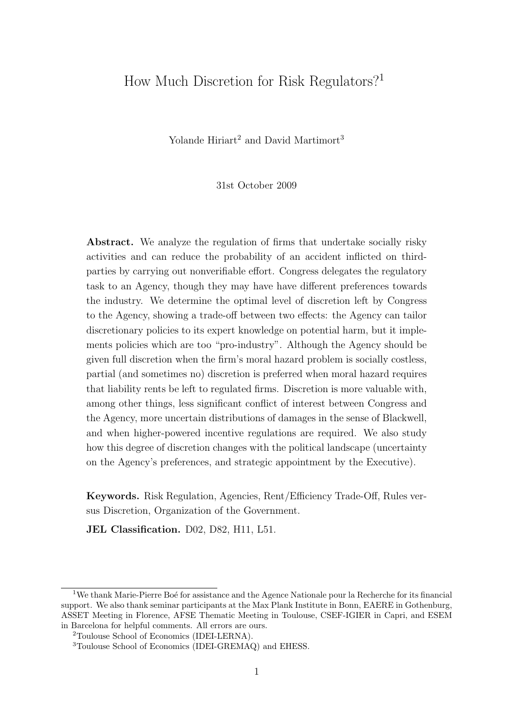# How Much Discretion for Risk Regulators?<sup>1</sup>

Yolande Hiriart<sup>2</sup> and David Martimort<sup>3</sup>

31st October 2009

Abstract. We analyze the regulation of firms that undertake socially risky activities and can reduce the probability of an accident inflicted on thirdparties by carrying out nonverifiable effort. Congress delegates the regulatory task to an Agency, though they may have have different preferences towards the industry. We determine the optimal level of discretion left by Congress to the Agency, showing a trade-off between two effects: the Agency can tailor discretionary policies to its expert knowledge on potential harm, but it implements policies which are too "pro-industry". Although the Agency should be given full discretion when the firm's moral hazard problem is socially costless, partial (and sometimes no) discretion is preferred when moral hazard requires that liability rents be left to regulated firms. Discretion is more valuable with, among other things, less significant conflict of interest between Congress and the Agency, more uncertain distributions of damages in the sense of Blackwell, and when higher-powered incentive regulations are required. We also study how this degree of discretion changes with the political landscape (uncertainty on the Agency's preferences, and strategic appointment by the Executive).

Keywords. Risk Regulation, Agencies, Rent/Efficiency Trade-Off, Rules versus Discretion, Organization of the Government.

JEL Classification. D02, D82, H11, L51.

 $1$ We thank Marie-Pierre Boé for assistance and the Agence Nationale pour la Recherche for its financial support. We also thank seminar participants at the Max Plank Institute in Bonn, EAERE in Gothenburg, ASSET Meeting in Florence, AFSE Thematic Meeting in Toulouse, CSEF-IGIER in Capri, and ESEM in Barcelona for helpful comments. All errors are ours.

<sup>2</sup>Toulouse School of Economics (IDEI-LERNA).

<sup>3</sup>Toulouse School of Economics (IDEI-GREMAQ) and EHESS.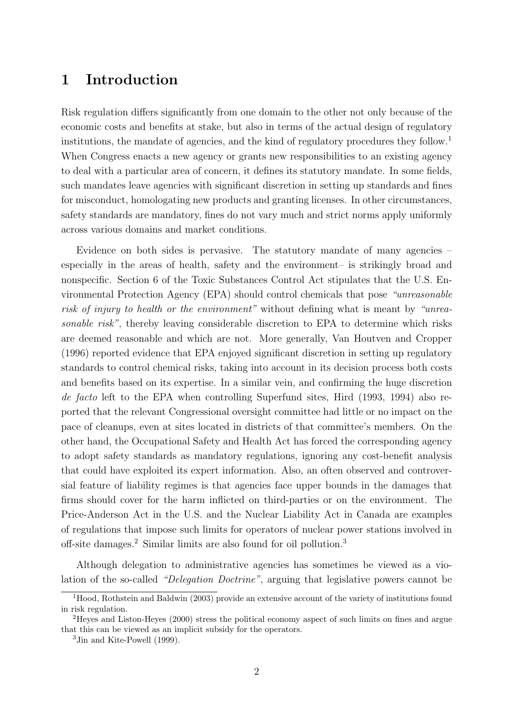## 1 Introduction

Risk regulation differs significantly from one domain to the other not only because of the economic costs and benefits at stake, but also in terms of the actual design of regulatory institutions, the mandate of agencies, and the kind of regulatory procedures they follow.<sup>1</sup> When Congress enacts a new agency or grants new responsibilities to an existing agency to deal with a particular area of concern, it defines its statutory mandate. In some fields, such mandates leave agencies with significant discretion in setting up standards and fines for misconduct, homologating new products and granting licenses. In other circumstances, safety standards are mandatory, fines do not vary much and strict norms apply uniformly across various domains and market conditions.

Evidence on both sides is pervasive. The statutory mandate of many agencies – especially in the areas of health, safety and the environment– is strikingly broad and nonspecific. Section 6 of the Toxic Substances Control Act stipulates that the U.S. Environmental Protection Agency (EPA) should control chemicals that pose "unreasonable risk of injury to health or the environment" without defining what is meant by "unreasonable risk", thereby leaving considerable discretion to EPA to determine which risks are deemed reasonable and which are not. More generally, Van Houtven and Cropper (1996) reported evidence that EPA enjoyed significant discretion in setting up regulatory standards to control chemical risks, taking into account in its decision process both costs and benefits based on its expertise. In a similar vein, and confirming the huge discretion de facto left to the EPA when controlling Superfund sites, Hird (1993, 1994) also reported that the relevant Congressional oversight committee had little or no impact on the pace of cleanups, even at sites located in districts of that committee's members. On the other hand, the Occupational Safety and Health Act has forced the corresponding agency to adopt safety standards as mandatory regulations, ignoring any cost-benefit analysis that could have exploited its expert information. Also, an often observed and controversial feature of liability regimes is that agencies face upper bounds in the damages that firms should cover for the harm inflicted on third-parties or on the environment. The Price-Anderson Act in the U.S. and the Nuclear Liability Act in Canada are examples of regulations that impose such limits for operators of nuclear power stations involved in off-site damages.<sup>2</sup> Similar limits are also found for oil pollution.<sup>3</sup>

Although delegation to administrative agencies has sometimes be viewed as a violation of the so-called "Delegation Doctrine", arguing that legislative powers cannot be

<sup>&</sup>lt;sup>1</sup>Hood, Rothstein and Baldwin (2003) provide an extensive account of the variety of institutions found in risk regulation.

<sup>2</sup>Heyes and Liston-Heyes (2000) stress the political economy aspect of such limits on fines and argue that this can be viewed as an implicit subsidy for the operators.

<sup>3</sup>Jin and Kite-Powell (1999).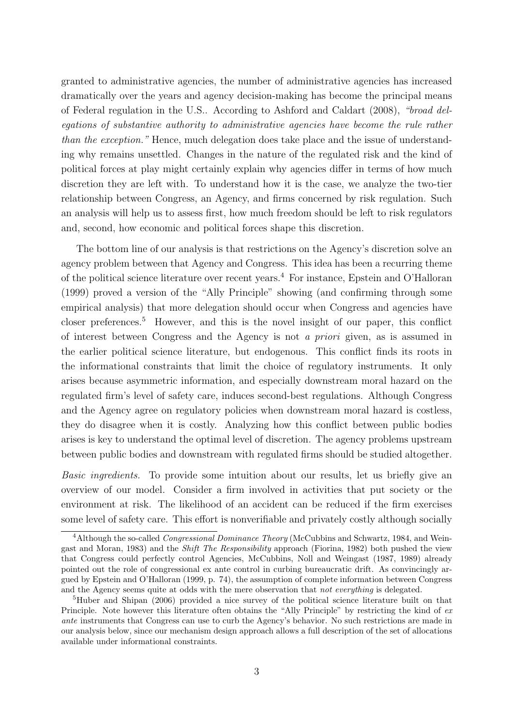granted to administrative agencies, the number of administrative agencies has increased dramatically over the years and agency decision-making has become the principal means of Federal regulation in the U.S.. According to Ashford and Caldart (2008), "broad delegations of substantive authority to administrative agencies have become the rule rather than the exception." Hence, much delegation does take place and the issue of understanding why remains unsettled. Changes in the nature of the regulated risk and the kind of political forces at play might certainly explain why agencies differ in terms of how much discretion they are left with. To understand how it is the case, we analyze the two-tier relationship between Congress, an Agency, and firms concerned by risk regulation. Such an analysis will help us to assess first, how much freedom should be left to risk regulators and, second, how economic and political forces shape this discretion.

The bottom line of our analysis is that restrictions on the Agency's discretion solve an agency problem between that Agency and Congress. This idea has been a recurring theme of the political science literature over recent years.<sup>4</sup> For instance, Epstein and O'Halloran (1999) proved a version of the "Ally Principle" showing (and confirming through some empirical analysis) that more delegation should occur when Congress and agencies have closer preferences.<sup>5</sup> However, and this is the novel insight of our paper, this conflict of interest between Congress and the Agency is not a priori given, as is assumed in the earlier political science literature, but endogenous. This conflict finds its roots in the informational constraints that limit the choice of regulatory instruments. It only arises because asymmetric information, and especially downstream moral hazard on the regulated firm's level of safety care, induces second-best regulations. Although Congress and the Agency agree on regulatory policies when downstream moral hazard is costless, they do disagree when it is costly. Analyzing how this conflict between public bodies arises is key to understand the optimal level of discretion. The agency problems upstream between public bodies and downstream with regulated firms should be studied altogether.

Basic ingredients. To provide some intuition about our results, let us briefly give an overview of our model. Consider a firm involved in activities that put society or the environment at risk. The likelihood of an accident can be reduced if the firm exercises some level of safety care. This effort is nonverifiable and privately costly although socially

<sup>&</sup>lt;sup>4</sup>Although the so-called *Congressional Dominance Theory* (McCubbins and Schwartz, 1984, and Weingast and Moran, 1983) and the Shift The Responsibility approach (Fiorina, 1982) both pushed the view that Congress could perfectly control Agencies, McCubbins, Noll and Weingast (1987, 1989) already pointed out the role of congressional ex ante control in curbing bureaucratic drift. As convincingly argued by Epstein and O'Halloran (1999, p. 74), the assumption of complete information between Congress and the Agency seems quite at odds with the mere observation that not everything is delegated.

<sup>5</sup>Huber and Shipan (2006) provided a nice survey of the political science literature built on that Principle. Note however this literature often obtains the "Ally Principle" by restricting the kind of ex ante instruments that Congress can use to curb the Agency's behavior. No such restrictions are made in our analysis below, since our mechanism design approach allows a full description of the set of allocations available under informational constraints.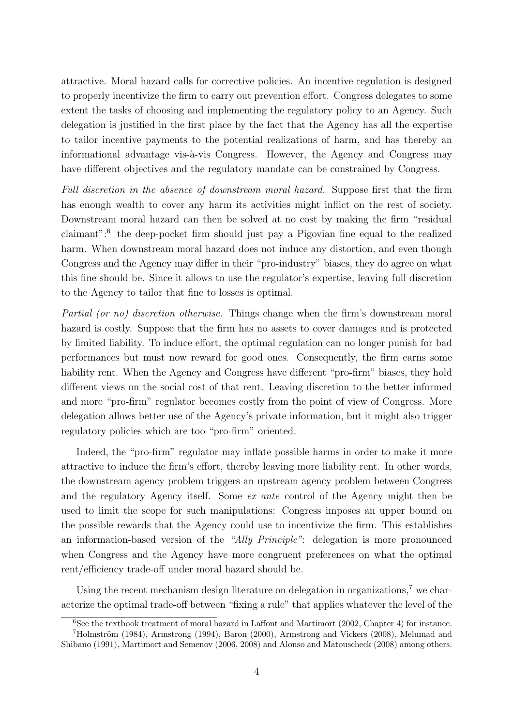attractive. Moral hazard calls for corrective policies. An incentive regulation is designed to properly incentivize the firm to carry out prevention effort. Congress delegates to some extent the tasks of choosing and implementing the regulatory policy to an Agency. Such delegation is justified in the first place by the fact that the Agency has all the expertise to tailor incentive payments to the potential realizations of harm, and has thereby an informational advantage vis- $\grave{a}$ -vis Congress. However, the Agency and Congress may have different objectives and the regulatory mandate can be constrained by Congress.

Full discretion in the absence of downstream moral hazard. Suppose first that the firm has enough wealth to cover any harm its activities might inflict on the rest of society. Downstream moral hazard can then be solved at no cost by making the firm "residual claimant":<sup>6</sup> the deep-pocket firm should just pay a Pigovian fine equal to the realized harm. When downstream moral hazard does not induce any distortion, and even though Congress and the Agency may differ in their "pro-industry" biases, they do agree on what this fine should be. Since it allows to use the regulator's expertise, leaving full discretion to the Agency to tailor that fine to losses is optimal.

Partial (or no) discretion otherwise. Things change when the firm's downstream moral hazard is costly. Suppose that the firm has no assets to cover damages and is protected by limited liability. To induce effort, the optimal regulation can no longer punish for bad performances but must now reward for good ones. Consequently, the firm earns some liability rent. When the Agency and Congress have different "pro-firm" biases, they hold different views on the social cost of that rent. Leaving discretion to the better informed and more "pro-firm" regulator becomes costly from the point of view of Congress. More delegation allows better use of the Agency's private information, but it might also trigger regulatory policies which are too "pro-firm" oriented.

Indeed, the "pro-firm" regulator may inflate possible harms in order to make it more attractive to induce the firm's effort, thereby leaving more liability rent. In other words, the downstream agency problem triggers an upstream agency problem between Congress and the regulatory Agency itself. Some ex ante control of the Agency might then be used to limit the scope for such manipulations: Congress imposes an upper bound on the possible rewards that the Agency could use to incentivize the firm. This establishes an information-based version of the "Ally Principle": delegation is more pronounced when Congress and the Agency have more congruent preferences on what the optimal rent/efficiency trade-off under moral hazard should be.

Using the recent mechanism design literature on delegation in organizations,<sup>7</sup> we characterize the optimal trade-off between "fixing a rule" that applies whatever the level of the

 $6$ See the textbook treatment of moral hazard in Laffont and Martimort (2002, Chapter 4) for instance.  $7H$ olmström (1984), Armstrong (1994), Baron (2000), Armstrong and Vickers (2008), Melumad and Shibano (1991), Martimort and Semenov (2006, 2008) and Alonso and Matouscheck (2008) among others.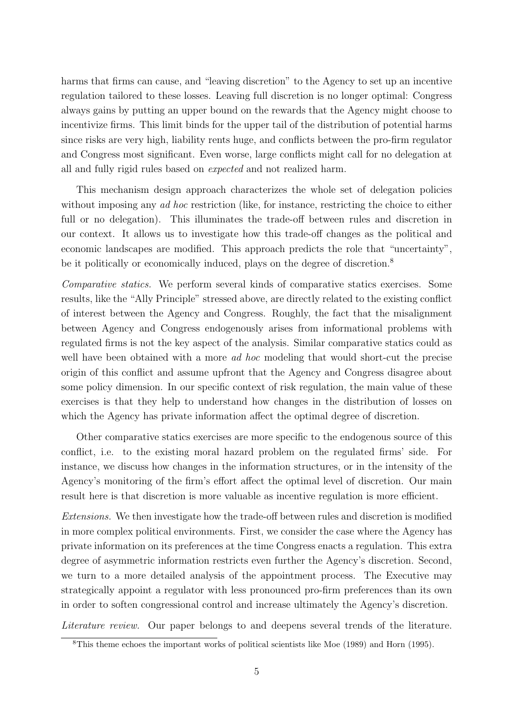harms that firms can cause, and "leaving discretion" to the Agency to set up an incentive regulation tailored to these losses. Leaving full discretion is no longer optimal: Congress always gains by putting an upper bound on the rewards that the Agency might choose to incentivize firms. This limit binds for the upper tail of the distribution of potential harms since risks are very high, liability rents huge, and conflicts between the pro-firm regulator and Congress most significant. Even worse, large conflicts might call for no delegation at all and fully rigid rules based on expected and not realized harm.

This mechanism design approach characterizes the whole set of delegation policies without imposing any *ad hoc* restriction (like, for instance, restricting the choice to either full or no delegation). This illuminates the trade-off between rules and discretion in our context. It allows us to investigate how this trade-off changes as the political and economic landscapes are modified. This approach predicts the role that "uncertainty", be it politically or economically induced, plays on the degree of discretion.<sup>8</sup>

Comparative statics. We perform several kinds of comparative statics exercises. Some results, like the "Ally Principle" stressed above, are directly related to the existing conflict of interest between the Agency and Congress. Roughly, the fact that the misalignment between Agency and Congress endogenously arises from informational problems with regulated firms is not the key aspect of the analysis. Similar comparative statics could as well have been obtained with a more *ad hoc* modeling that would short-cut the precise origin of this conflict and assume upfront that the Agency and Congress disagree about some policy dimension. In our specific context of risk regulation, the main value of these exercises is that they help to understand how changes in the distribution of losses on which the Agency has private information affect the optimal degree of discretion.

Other comparative statics exercises are more specific to the endogenous source of this conflict, i.e. to the existing moral hazard problem on the regulated firms' side. For instance, we discuss how changes in the information structures, or in the intensity of the Agency's monitoring of the firm's effort affect the optimal level of discretion. Our main result here is that discretion is more valuable as incentive regulation is more efficient.

Extensions. We then investigate how the trade-off between rules and discretion is modified in more complex political environments. First, we consider the case where the Agency has private information on its preferences at the time Congress enacts a regulation. This extra degree of asymmetric information restricts even further the Agency's discretion. Second, we turn to a more detailed analysis of the appointment process. The Executive may strategically appoint a regulator with less pronounced pro-firm preferences than its own in order to soften congressional control and increase ultimately the Agency's discretion.

Literature review. Our paper belongs to and deepens several trends of the literature.

<sup>8</sup>This theme echoes the important works of political scientists like Moe (1989) and Horn (1995).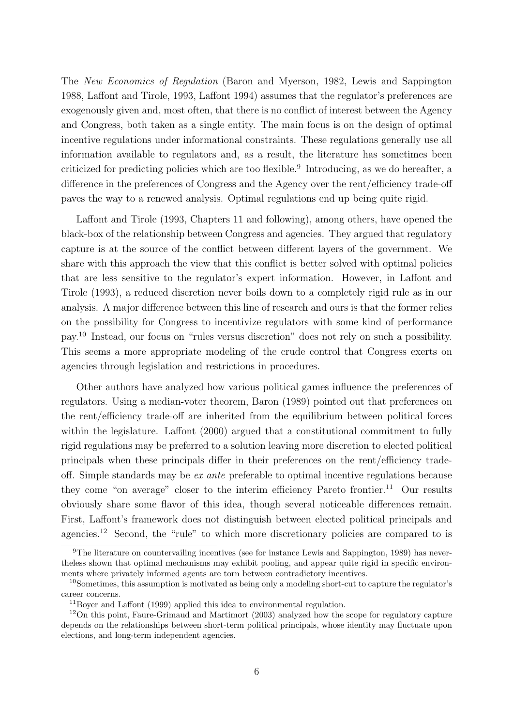The New Economics of Regulation (Baron and Myerson, 1982, Lewis and Sappington 1988, Laffont and Tirole, 1993, Laffont 1994) assumes that the regulator's preferences are exogenously given and, most often, that there is no conflict of interest between the Agency and Congress, both taken as a single entity. The main focus is on the design of optimal incentive regulations under informational constraints. These regulations generally use all information available to regulators and, as a result, the literature has sometimes been criticized for predicting policies which are too flexible.<sup>9</sup> Introducing, as we do hereafter, a difference in the preferences of Congress and the Agency over the rent/efficiency trade-off paves the way to a renewed analysis. Optimal regulations end up being quite rigid.

Laffont and Tirole (1993, Chapters 11 and following), among others, have opened the black-box of the relationship between Congress and agencies. They argued that regulatory capture is at the source of the conflict between different layers of the government. We share with this approach the view that this conflict is better solved with optimal policies that are less sensitive to the regulator's expert information. However, in Laffont and Tirole (1993), a reduced discretion never boils down to a completely rigid rule as in our analysis. A major difference between this line of research and ours is that the former relies on the possibility for Congress to incentivize regulators with some kind of performance pay.<sup>10</sup> Instead, our focus on "rules versus discretion" does not rely on such a possibility. This seems a more appropriate modeling of the crude control that Congress exerts on agencies through legislation and restrictions in procedures.

Other authors have analyzed how various political games influence the preferences of regulators. Using a median-voter theorem, Baron (1989) pointed out that preferences on the rent/efficiency trade-off are inherited from the equilibrium between political forces within the legislature. Laffont (2000) argued that a constitutional commitment to fully rigid regulations may be preferred to a solution leaving more discretion to elected political principals when these principals differ in their preferences on the rent/efficiency tradeoff. Simple standards may be ex ante preferable to optimal incentive regulations because they come "on average" closer to the interim efficiency Pareto frontier.<sup>11</sup> Our results obviously share some flavor of this idea, though several noticeable differences remain. First, Laffont's framework does not distinguish between elected political principals and agencies.<sup>12</sup> Second, the "rule" to which more discretionary policies are compared to is

<sup>9</sup>The literature on countervailing incentives (see for instance Lewis and Sappington, 1989) has nevertheless shown that optimal mechanisms may exhibit pooling, and appear quite rigid in specific environments where privately informed agents are torn between contradictory incentives.

<sup>10</sup>Sometimes, this assumption is motivated as being only a modeling short-cut to capture the regulator's career concerns.

<sup>11</sup>Boyer and Laffont (1999) applied this idea to environmental regulation.

<sup>&</sup>lt;sup>12</sup>On this point, Faure-Grimaud and Martimort (2003) analyzed how the scope for regulatory capture depends on the relationships between short-term political principals, whose identity may fluctuate upon elections, and long-term independent agencies.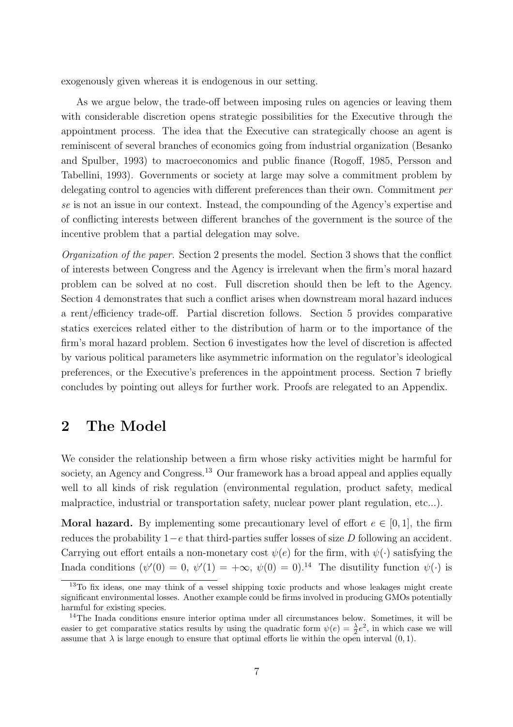exogenously given whereas it is endogenous in our setting.

As we argue below, the trade-off between imposing rules on agencies or leaving them with considerable discretion opens strategic possibilities for the Executive through the appointment process. The idea that the Executive can strategically choose an agent is reminiscent of several branches of economics going from industrial organization (Besanko and Spulber, 1993) to macroeconomics and public finance (Rogoff, 1985, Persson and Tabellini, 1993). Governments or society at large may solve a commitment problem by delegating control to agencies with different preferences than their own. Commitment per se is not an issue in our context. Instead, the compounding of the Agency's expertise and of conflicting interests between different branches of the government is the source of the incentive problem that a partial delegation may solve.

Organization of the paper. Section 2 presents the model. Section 3 shows that the conflict of interests between Congress and the Agency is irrelevant when the firm's moral hazard problem can be solved at no cost. Full discretion should then be left to the Agency. Section 4 demonstrates that such a conflict arises when downstream moral hazard induces a rent/efficiency trade-off. Partial discretion follows. Section 5 provides comparative statics exercices related either to the distribution of harm or to the importance of the firm's moral hazard problem. Section 6 investigates how the level of discretion is affected by various political parameters like asymmetric information on the regulator's ideological preferences, or the Executive's preferences in the appointment process. Section 7 briefly concludes by pointing out alleys for further work. Proofs are relegated to an Appendix.

## 2 The Model

We consider the relationship between a firm whose risky activities might be harmful for society, an Agency and Congress.<sup>13</sup> Our framework has a broad appeal and applies equally well to all kinds of risk regulation (environmental regulation, product safety, medical malpractice, industrial or transportation safety, nuclear power plant regulation, etc...).

**Moral hazard.** By implementing some precautionary level of effort  $e \in [0, 1]$ , the firm reduces the probability  $1-e$  that third-parties suffer losses of size D following an accident. Carrying out effort entails a non-monetary cost  $\psi(e)$  for the firm, with  $\psi(\cdot)$  satisfying the Inada conditions  $(\psi'(0) = 0, \psi'(1) = +\infty, \psi(0) = 0).$ <sup>14</sup> The disutility function  $\psi(\cdot)$  is

<sup>&</sup>lt;sup>13</sup>To fix ideas, one may think of a vessel shipping toxic products and whose leakages might create significant environmental losses. Another example could be firms involved in producing GMOs potentially harmful for existing species.

<sup>&</sup>lt;sup>14</sup>The Inada conditions ensure interior optima under all circumstances below. Sometimes, it will be easier to get comparative statics results by using the quadratic form  $\psi(e) = \frac{\lambda}{2}e^2$ , in which case we will assume that  $\lambda$  is large enough to ensure that optimal efforts lie within the open interval  $(0, 1)$ .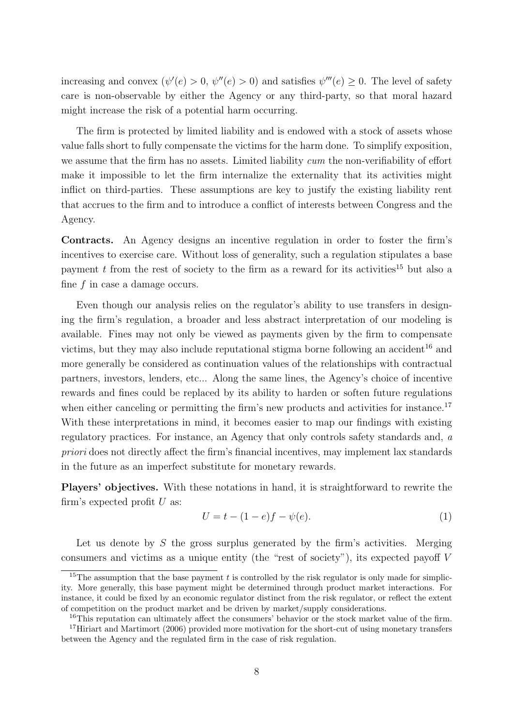increasing and convex  $(\psi'(e) > 0, \psi''(e) > 0)$  and satisfies  $\psi'''(e) \geq 0$ . The level of safety care is non-observable by either the Agency or any third-party, so that moral hazard might increase the risk of a potential harm occurring.

The firm is protected by limited liability and is endowed with a stock of assets whose value falls short to fully compensate the victims for the harm done. To simplify exposition, we assume that the firm has no assets. Limited liability cum the non-verifiability of effort make it impossible to let the firm internalize the externality that its activities might inflict on third-parties. These assumptions are key to justify the existing liability rent that accrues to the firm and to introduce a conflict of interests between Congress and the Agency.

Contracts. An Agency designs an incentive regulation in order to foster the firm's incentives to exercise care. Without loss of generality, such a regulation stipulates a base payment t from the rest of society to the firm as a reward for its activities<sup>15</sup> but also a fine f in case a damage occurs.

Even though our analysis relies on the regulator's ability to use transfers in designing the firm's regulation, a broader and less abstract interpretation of our modeling is available. Fines may not only be viewed as payments given by the firm to compensate victims, but they may also include reputational stigma borne following an accident<sup>16</sup> and more generally be considered as continuation values of the relationships with contractual partners, investors, lenders, etc... Along the same lines, the Agency's choice of incentive rewards and fines could be replaced by its ability to harden or soften future regulations when either canceling or permitting the firm's new products and activities for instance.<sup>17</sup> With these interpretations in mind, it becomes easier to map our findings with existing regulatory practices. For instance, an Agency that only controls safety standards and, a priori does not directly affect the firm's financial incentives, may implement lax standards in the future as an imperfect substitute for monetary rewards.

Players' objectives. With these notations in hand, it is straightforward to rewrite the firm's expected profit  $U$  as:

$$
U = t - (1 - e)f - \psi(e). \tag{1}
$$

Let us denote by  $S$  the gross surplus generated by the firm's activities. Merging consumers and victims as a unique entity (the "rest of society"), its expected payoff V

<sup>&</sup>lt;sup>15</sup>The assumption that the base payment  $t$  is controlled by the risk regulator is only made for simplicity. More generally, this base payment might be determined through product market interactions. For instance, it could be fixed by an economic regulator distinct from the risk regulator, or reflect the extent of competition on the product market and be driven by market/supply considerations.

<sup>&</sup>lt;sup>16</sup>This reputation can ultimately affect the consumers' behavior or the stock market value of the firm. <sup>17</sup>Hiriart and Martimort (2006) provided more motivation for the short-cut of using monetary transfers between the Agency and the regulated firm in the case of risk regulation.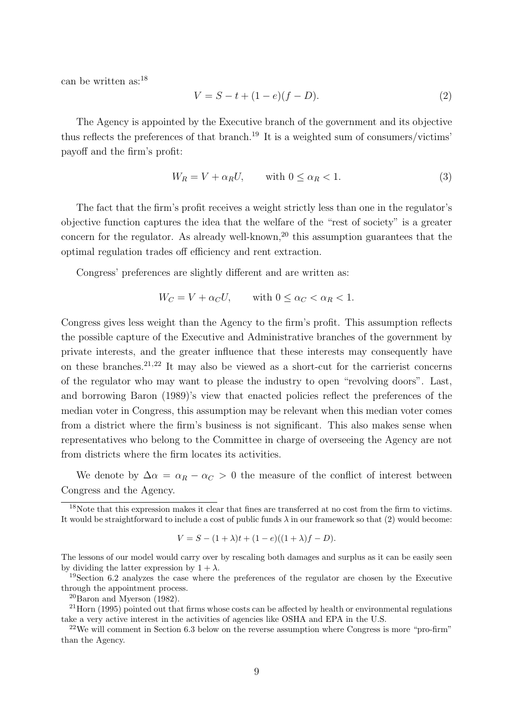can be written as:<sup>18</sup>

$$
V = S - t + (1 - e)(f - D).
$$
 (2)

The Agency is appointed by the Executive branch of the government and its objective thus reflects the preferences of that branch.<sup>19</sup> It is a weighted sum of consumers/victims' payoff and the firm's profit:

$$
W_R = V + \alpha_R U, \qquad \text{with } 0 \le \alpha_R < 1. \tag{3}
$$

The fact that the firm's profit receives a weight strictly less than one in the regulator's objective function captures the idea that the welfare of the "rest of society" is a greater concern for the regulator. As already well-known,<sup>20</sup> this assumption guarantees that the optimal regulation trades off efficiency and rent extraction.

Congress' preferences are slightly different and are written as:

$$
W_C = V + \alpha_C U, \quad \text{with } 0 \le \alpha_C < \alpha_R < 1.
$$

Congress gives less weight than the Agency to the firm's profit. This assumption reflects the possible capture of the Executive and Administrative branches of the government by private interests, and the greater influence that these interests may consequently have on these branches.<sup>21,22</sup> It may also be viewed as a short-cut for the carrierist concerns of the regulator who may want to please the industry to open "revolving doors". Last, and borrowing Baron (1989)'s view that enacted policies reflect the preferences of the median voter in Congress, this assumption may be relevant when this median voter comes from a district where the firm's business is not significant. This also makes sense when representatives who belong to the Committee in charge of overseeing the Agency are not from districts where the firm locates its activities.

We denote by  $\Delta \alpha = \alpha_R - \alpha_C > 0$  the measure of the conflict of interest between Congress and the Agency.

$$
V = S - (1 + \lambda)t + (1 - e)((1 + \lambda)f - D).
$$

 $^{20}$ Baron and Myerson (1982).

 $18$ Note that this expression makes it clear that fines are transferred at no cost from the firm to victims. It would be straightforward to include a cost of public funds  $\lambda$  in our framework so that (2) would become:

The lessons of our model would carry over by rescaling both damages and surplus as it can be easily seen by dividing the latter expression by  $1 + \lambda$ .

<sup>&</sup>lt;sup>19</sup>Section 6.2 analyzes the case where the preferences of the regulator are chosen by the Executive through the appointment process.

 $21$  Horn (1995) pointed out that firms whose costs can be affected by health or environmental regulations take a very active interest in the activities of agencies like OSHA and EPA in the U.S.

 $^{22}$ We will comment in Section 6.3 below on the reverse assumption where Congress is more "pro-firm" than the Agency.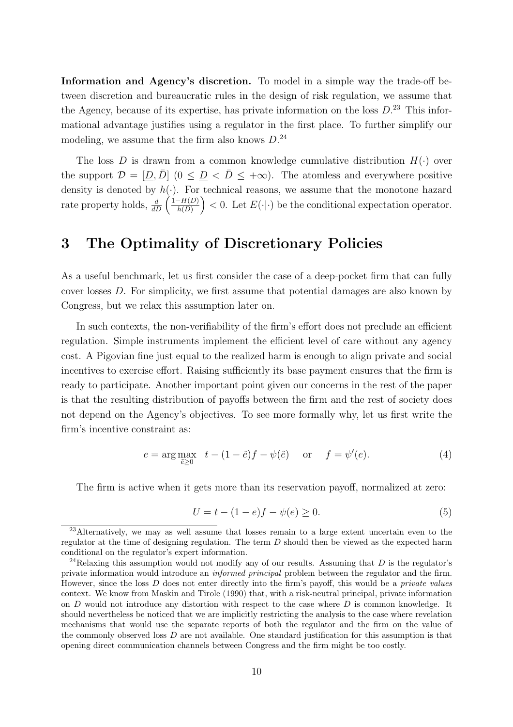Information and Agency's discretion. To model in a simple way the trade-off between discretion and bureaucratic rules in the design of risk regulation, we assume that the Agency, because of its expertise, has private information on the loss  $D^{23}$ . This informational advantage justifies using a regulator in the first place. To further simplify our modeling, we assume that the firm also knows  $D^{24}$ 

The loss D is drawn from a common knowledge cumulative distribution  $H(\cdot)$  over the support  $\mathcal{D} = [D, \overline{D}]$   $(0 \leq D \leq \overline{D} \leq +\infty)$ . The atomless and everywhere positive density is denoted by  $h(\cdot)$ . For technical reasons, we assume that the monotone hazard density is denoted by  $h(\text{rate property holds}, \frac{d}{dD})$  $1-H(D)$  $\left(\frac{-H(D)}{h(D)}\right)$  < 0. Let  $E(\cdot|\cdot)$  be the conditional expectation operator.

## 3 The Optimality of Discretionary Policies

As a useful benchmark, let us first consider the case of a deep-pocket firm that can fully cover losses D. For simplicity, we first assume that potential damages are also known by Congress, but we relax this assumption later on.

In such contexts, the non-verifiability of the firm's effort does not preclude an efficient regulation. Simple instruments implement the efficient level of care without any agency cost. A Pigovian fine just equal to the realized harm is enough to align private and social incentives to exercise effort. Raising sufficiently its base payment ensures that the firm is ready to participate. Another important point given our concerns in the rest of the paper is that the resulting distribution of payoffs between the firm and the rest of society does not depend on the Agency's objectives. To see more formally why, let us first write the firm's incentive constraint as:

$$
e = \arg \max_{\tilde{e} \ge 0} \quad t - (1 - \tilde{e})f - \psi(\tilde{e}) \quad \text{or} \quad f = \psi'(e). \tag{4}
$$

The firm is active when it gets more than its reservation payoff, normalized at zero:

$$
U = t - (1 - e)f - \psi(e) \ge 0.
$$
 (5)

<sup>&</sup>lt;sup>23</sup>Alternatively, we may as well assume that losses remain to a large extent uncertain even to the regulator at the time of designing regulation. The term  $D$  should then be viewed as the expected harm conditional on the regulator's expert information.

<sup>&</sup>lt;sup>24</sup>Relaxing this assumption would not modify any of our results. Assuming that  $D$  is the regulator's private information would introduce an informed principal problem between the regulator and the firm. However, since the loss D does not enter directly into the firm's payoff, this would be a private values context. We know from Maskin and Tirole (1990) that, with a risk-neutral principal, private information on  $D$  would not introduce any distortion with respect to the case where  $D$  is common knowledge. It should nevertheless be noticed that we are implicitly restricting the analysis to the case where revelation mechanisms that would use the separate reports of both the regulator and the firm on the value of the commonly observed loss D are not available. One standard justification for this assumption is that opening direct communication channels between Congress and the firm might be too costly.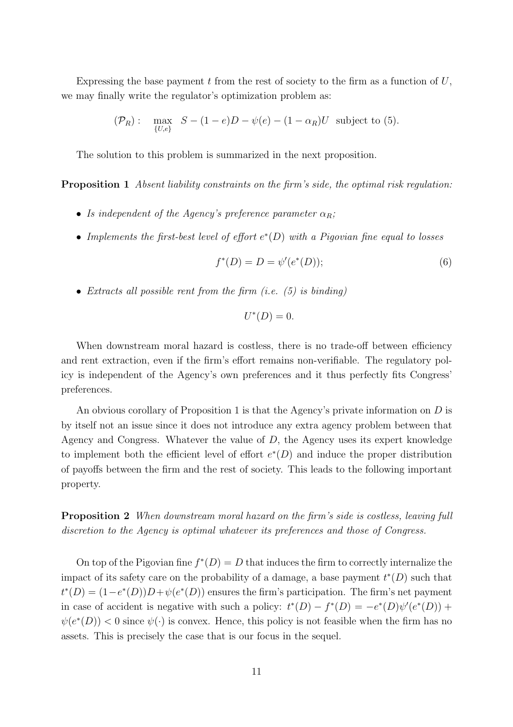Expressing the base payment  $t$  from the rest of society to the firm as a function of  $U$ , we may finally write the regulator's optimization problem as:

$$
(\mathcal{P}_R): \quad \max_{\{U,e\}} \quad S - (1-e)D - \psi(e) - (1-\alpha_R)U \quad \text{subject to (5)}.
$$

The solution to this problem is summarized in the next proposition.

Proposition 1 Absent liability constraints on the firm's side, the optimal risk regulation:

- Is independent of the Agency's preference parameter  $\alpha_R$ ;
- Implements the first-best level of effort  $e^*(D)$  with a Pigovian fine equal to losses

$$
f^*(D) = D = \psi'(e^*(D));
$$
\n(6)

• Extracts all possible rent from the firm  $(i.e. (5)$  is binding)

$$
U^*(D)=0.
$$

When downstream moral hazard is costless, there is no trade-off between efficiency and rent extraction, even if the firm's effort remains non-verifiable. The regulatory policy is independent of the Agency's own preferences and it thus perfectly fits Congress' preferences.

An obvious corollary of Proposition 1 is that the Agency's private information on  $D$  is by itself not an issue since it does not introduce any extra agency problem between that Agency and Congress. Whatever the value of D, the Agency uses its expert knowledge to implement both the efficient level of effort  $e^*(D)$  and induce the proper distribution of payoffs between the firm and the rest of society. This leads to the following important property.

Proposition 2 When downstream moral hazard on the firm's side is costless, leaving full discretion to the Agency is optimal whatever its preferences and those of Congress.

On top of the Pigovian fine  $f^*(D) = D$  that induces the firm to correctly internalize the impact of its safety care on the probability of a damage, a base payment  $t^*(D)$  such that  $t^{*}(D) = (1 - e^{*}(D))D + \psi(e^{*}(D))$  ensures the firm's participation. The firm's net payment in case of accident is negative with such a policy:  $t^*(D) - f^*(D) = -e^*(D)\psi'(e^*(D)) +$  $\psi(e^*(D))$  < 0 since  $\psi(\cdot)$  is convex. Hence, this policy is not feasible when the firm has no assets. This is precisely the case that is our focus in the sequel.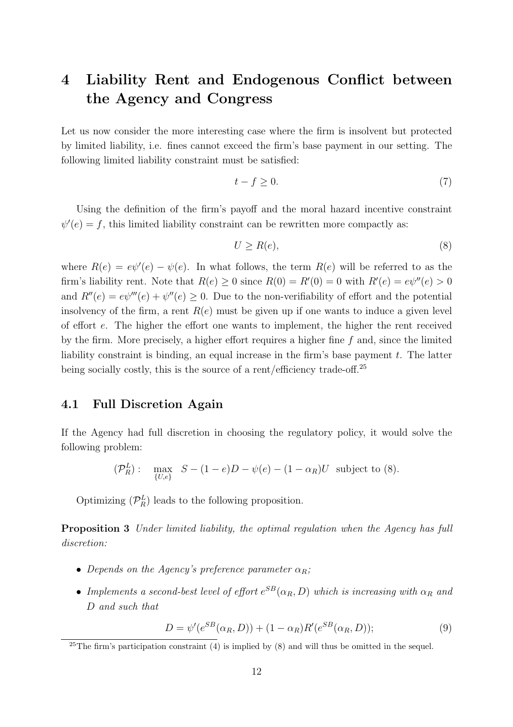# 4 Liability Rent and Endogenous Conflict between the Agency and Congress

Let us now consider the more interesting case where the firm is insolvent but protected by limited liability, i.e. fines cannot exceed the firm's base payment in our setting. The following limited liability constraint must be satisfied:

$$
t - f \ge 0. \tag{7}
$$

Using the definition of the firm's payoff and the moral hazard incentive constraint  $\psi'(e) = f$ , this limited liability constraint can be rewritten more compactly as:

$$
U \ge R(e),\tag{8}
$$

where  $R(e) = e\psi'(e) - \psi(e)$ . In what follows, the term  $R(e)$  will be referred to as the firm's liability rent. Note that  $R(e) \geq 0$  since  $R(0) = R'(0) = 0$  with  $R'(e) = e\psi''(e) > 0$ and  $R''(e) = e\psi'''(e) + \psi''(e) \ge 0$ . Due to the non-verifiability of effort and the potential insolvency of the firm, a rent  $R(e)$  must be given up if one wants to induce a given level of effort e. The higher the effort one wants to implement, the higher the rent received by the firm. More precisely, a higher effort requires a higher fine  $f$  and, since the limited liability constraint is binding, an equal increase in the firm's base payment  $t$ . The latter being socially costly, this is the source of a rent/efficiency trade-off.<sup>25</sup>

#### 4.1 Full Discretion Again

If the Agency had full discretion in choosing the regulatory policy, it would solve the following problem:

$$
(\mathcal{P}_R^L): \quad \max_{\{U,e\}} \quad S - (1-e)D - \psi(e) - (1-\alpha_R)U \quad \text{subject to (8)}.
$$

Optimizing  $(\mathcal{P}_R^L)$  leads to the following proposition.

Proposition 3 Under limited liability, the optimal regulation when the Agency has full discretion:

- Depends on the Agency's preference parameter  $\alpha_R$ ;
- Implements a second-best level of effort  $e^{SB}(\alpha_R, D)$  which is increasing with  $\alpha_R$  and D and such that

$$
D = \psi'(e^{SB}(\alpha_R, D)) + (1 - \alpha_R)R'(e^{SB}(\alpha_R, D));
$$
\n(9)

<sup>&</sup>lt;sup>25</sup>The firm's participation constraint  $(4)$  is implied by  $(8)$  and will thus be omitted in the sequel.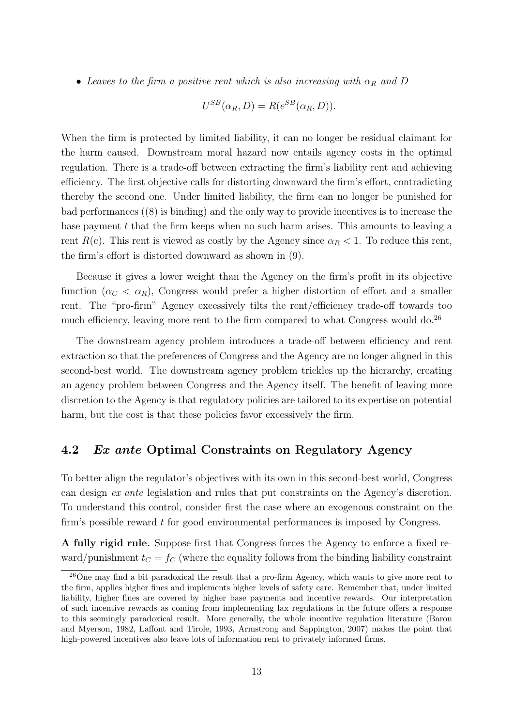• Leaves to the firm a positive rent which is also increasing with  $\alpha_R$  and D

$$
U^{SB}(\alpha_R, D) = R(e^{SB}(\alpha_R, D)).
$$

When the firm is protected by limited liability, it can no longer be residual claimant for the harm caused. Downstream moral hazard now entails agency costs in the optimal regulation. There is a trade-off between extracting the firm's liability rent and achieving efficiency. The first objective calls for distorting downward the firm's effort, contradicting thereby the second one. Under limited liability, the firm can no longer be punished for bad performances ((8) is binding) and the only way to provide incentives is to increase the base payment  $t$  that the firm keeps when no such harm arises. This amounts to leaving a rent  $R(e)$ . This rent is viewed as costly by the Agency since  $\alpha_R < 1$ . To reduce this rent, the firm's effort is distorted downward as shown in (9).

Because it gives a lower weight than the Agency on the firm's profit in its objective function  $(\alpha_C < \alpha_R)$ , Congress would prefer a higher distortion of effort and a smaller rent. The "pro-firm" Agency excessively tilts the rent/efficiency trade-off towards too much efficiency, leaving more rent to the firm compared to what Congress would do.<sup>26</sup>

The downstream agency problem introduces a trade-off between efficiency and rent extraction so that the preferences of Congress and the Agency are no longer aligned in this second-best world. The downstream agency problem trickles up the hierarchy, creating an agency problem between Congress and the Agency itself. The benefit of leaving more discretion to the Agency is that regulatory policies are tailored to its expertise on potential harm, but the cost is that these policies favor excessively the firm.

#### 4.2 Ex ante Optimal Constraints on Regulatory Agency

To better align the regulator's objectives with its own in this second-best world, Congress can design ex ante legislation and rules that put constraints on the Agency's discretion. To understand this control, consider first the case where an exogenous constraint on the firm's possible reward t for good environmental performances is imposed by Congress.

A fully rigid rule. Suppose first that Congress forces the Agency to enforce a fixed reward/punishment  $t_C = f_C$  (where the equality follows from the binding liability constraint

<sup>26</sup>One may find a bit paradoxical the result that a pro-firm Agency, which wants to give more rent to the firm, applies higher fines and implements higher levels of safety care. Remember that, under limited liability, higher fines are covered by higher base payments and incentive rewards. Our interpretation of such incentive rewards as coming from implementing lax regulations in the future offers a response to this seemingly paradoxical result. More generally, the whole incentive regulation literature (Baron and Myerson, 1982, Laffont and Tirole, 1993, Armstrong and Sappington, 2007) makes the point that high-powered incentives also leave lots of information rent to privately informed firms.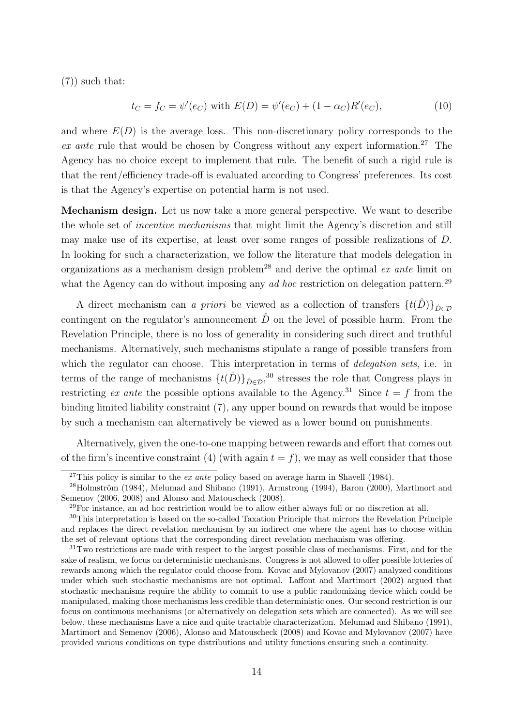(7)) such that:

$$
t_C = f_C = \psi'(e_C) \text{ with } E(D) = \psi'(e_C) + (1 - \alpha_C)R'(e_C), \tag{10}
$$

and where  $E(D)$  is the average loss. This non-discretionary policy corresponds to the ex ante rule that would be chosen by Congress without any expert information.<sup>27</sup> The Agency has no choice except to implement that rule. The benefit of such a rigid rule is that the rent/efficiency trade-off is evaluated according to Congress' preferences. Its cost is that the Agency's expertise on potential harm is not used.

Mechanism design. Let us now take a more general perspective. We want to describe the whole set of incentive mechanisms that might limit the Agency's discretion and still may make use of its expertise, at least over some ranges of possible realizations of D. In looking for such a characterization, we follow the literature that models delegation in organizations as a mechanism design problem<sup>28</sup> and derive the optimal  $ex$  ante limit on what the Agency can do without imposing any *ad hoc* restriction on delegation pattern.<sup>29</sup>

A direct mechanism can a priori be viewed as a collection of transfers  $\{t(\hat{D})\}_{\hat{D}\in\mathcal{D}}$ contingent on the regulator's announcement  $\hat{D}$  on the level of possible harm. From the Revelation Principle, there is no loss of generality in considering such direct and truthful mechanisms. Alternatively, such mechanisms stipulate a range of possible transfers from which the regulator can choose. This interpretation in terms of *delegation sets*, i.e. in terms of the range of mechanisms  $\{t(\hat{D})\}_{\hat{D}\in\mathcal{D}}$ ,<sup>30</sup> stresses the role that Congress plays in restricting ex ante the possible options available to the Agency.<sup>31</sup> Since  $t = f$  from the binding limited liability constraint (7), any upper bound on rewards that would be impose by such a mechanism can alternatively be viewed as a lower bound on punishments.

Alternatively, given the one-to-one mapping between rewards and effort that comes out of the firm's incentive constraint (4) (with again  $t = f$ ), we may as well consider that those

<sup>&</sup>lt;sup>27</sup>This policy is similar to the *ex ante* policy based on average harm in Shavell (1984).

 $^{28}$ Holmström (1984), Melumad and Shibano (1991), Armstrong (1994), Baron (2000), Martimort and Semenov (2006, 2008) and Alonso and Matouscheck (2008).

<sup>29</sup>For instance, an ad hoc restriction would be to allow either always full or no discretion at all.

<sup>30</sup>This interpretation is based on the so-called Taxation Principle that mirrors the Revelation Principle and replaces the direct revelation mechanism by an indirect one where the agent has to choose within the set of relevant options that the corresponding direct revelation mechanism was offering.

<sup>&</sup>lt;sup>31</sup>Two restrictions are made with respect to the largest possible class of mechanisms. First, and for the sake of realism, we focus on deterministic mechanisms. Congress is not allowed to offer possible lotteries of rewards among which the regulator could choose from. Kovac and Mylovanov (2007) analyzed conditions under which such stochastic mechanisms are not optimal. Laffont and Martimort (2002) argued that stochastic mechanisms require the ability to commit to use a public randomizing device which could be manipulated, making those mechanisms less credible than deterministic ones. Our second restriction is our focus on continuous mechanisms (or alternatively on delegation sets which are connected). As we will see below, these mechanisms have a nice and quite tractable characterization. Melumad and Shibano (1991), Martimort and Semenov (2006), Alonso and Matouscheck (2008) and Kovac and Mylovanov (2007) have provided various conditions on type distributions and utility functions ensuring such a continuity.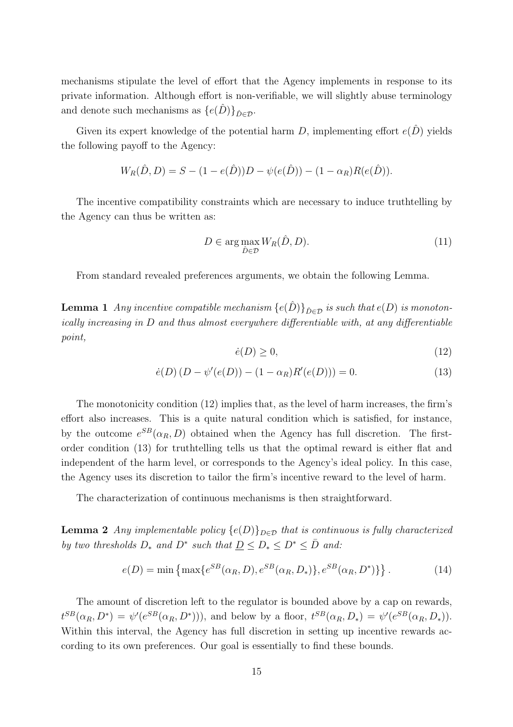mechanisms stipulate the level of effort that the Agency implements in response to its private information. Although effort is non-verifiable, we will slightly abuse terminology and denote such mechanisms as  $\{e(\hat{D})\}_{\hat{D}\in\mathcal{D}}$ .

Given its expert knowledge of the potential harm D, implementing effort  $e(\hat{D})$  yields the following payoff to the Agency:

$$
W_R(\hat{D}, D) = S - (1 - e(\hat{D}))D - \psi(e(\hat{D})) - (1 - \alpha_R)R(e(\hat{D})).
$$

The incentive compatibility constraints which are necessary to induce truthtelling by the Agency can thus be written as:

$$
D \in \arg\max_{\hat{D} \in \mathcal{D}} W_R(\hat{D}, D). \tag{11}
$$

From standard revealed preferences arguments, we obtain the following Lemma.

**Lemma 1** Any incentive compatible mechanism  $\{e(\hat{D})\}_{\hat{D}\in\mathcal{D}}$  is such that  $e(D)$  is monotonically increasing in D and thus almost everywhere differentiable with, at any differentiable point,

$$
\dot{e}(D) \ge 0,\tag{12}
$$

$$
\dot{e}(D)(D - \psi'(e(D)) - (1 - \alpha_R)R'(e(D))) = 0.
$$
\n(13)

The monotonicity condition (12) implies that, as the level of harm increases, the firm's effort also increases. This is a quite natural condition which is satisfied, for instance, by the outcome  $e^{SB}(\alpha_R, D)$  obtained when the Agency has full discretion. The firstorder condition (13) for truthtelling tells us that the optimal reward is either flat and independent of the harm level, or corresponds to the Agency's ideal policy. In this case, the Agency uses its discretion to tailor the firm's incentive reward to the level of harm.

The characterization of continuous mechanisms is then straightforward.

**Lemma 2** Any implementable policy  $\{e(D)\}_{D\in\mathcal{D}}$  that is continuous is fully characterized by two thresholds  $D_*$  and  $D^*$  such that  $\underline{D} \le D_* \le D^* \le \overline{D}$  and:

$$
e(D) = \min\left\{\max\{e^{SB}(\alpha_R, D), e^{SB}(\alpha_R, D_*)\}, e^{SB}(\alpha_R, D^*)\right\}.
$$
 (14)

The amount of discretion left to the regulator is bounded above by a cap on rewards,  $t^{SB}(\alpha_R, D^*) = \psi'(e^{SB}(\alpha_R, D^*)))$ , and below by a floor,  $t^{SB}(\alpha_R, D_*) = \psi'(e^{SB}(\alpha_R, D_*)).$ Within this interval, the Agency has full discretion in setting up incentive rewards according to its own preferences. Our goal is essentially to find these bounds.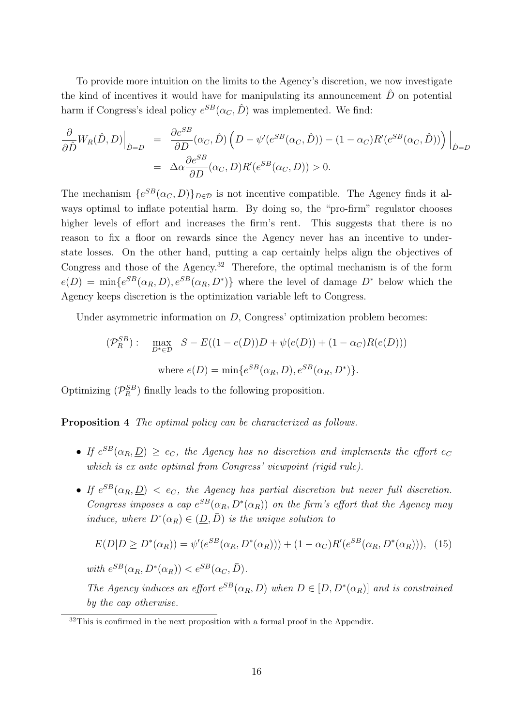To provide more intuition on the limits to the Agency's discretion, we now investigate the kind of incentives it would have for manipulating its announcement  $\hat{D}$  on potential harm if Congress's ideal policy  $e^{SB}(\alpha_C, \hat{D})$  was implemented. We find:

$$
\frac{\partial}{\partial \hat{D}} W_R(\hat{D}, D) \Big|_{\hat{D}=D} = \frac{\partial e^{SB}}{\partial D} (\alpha_C, \hat{D}) \left( D - \psi'(e^{SB}(\alpha_C, \hat{D})) - (1 - \alpha_C) R'(e^{SB}(\alpha_C, \hat{D})) \right) \Big|_{\hat{D}=D}
$$

$$
= \Delta \alpha \frac{\partial e^{SB}}{\partial D} (\alpha_C, D) R'(e^{SB}(\alpha_C, D)) > 0.
$$

The mechanism  $\{e^{SB}(\alpha_C, D)\}_{D \in \mathcal{D}}$  is not incentive compatible. The Agency finds it always optimal to inflate potential harm. By doing so, the "pro-firm" regulator chooses higher levels of effort and increases the firm's rent. This suggests that there is no reason to fix a floor on rewards since the Agency never has an incentive to understate losses. On the other hand, putting a cap certainly helps align the objectives of Congress and those of the Agency.<sup>32</sup> Therefore, the optimal mechanism is of the form  $e(D) = \min\{e^{SB}(\alpha_R, D), e^{SB}(\alpha_R, D^*)\}$  where the level of damage  $D^*$  below which the Agency keeps discretion is the optimization variable left to Congress.

Under asymmetric information on  $D$ . Congress' optimization problem becomes:

$$
(\mathcal{P}_R^{SB}) : \max_{D^* \in \mathcal{D}} S - E((1 - e(D))D + \psi(e(D)) + (1 - \alpha_C)R(e(D)))
$$
  
where  $e(D) = \min\{e^{SB}(\alpha_R, D), e^{SB}(\alpha_R, D^*)\}.$ 

Optimizing  $(\mathcal{P}_R^{SB})$  finally leads to the following proposition.

Proposition 4 The optimal policy can be characterized as follows.

- If  $e^{SB}(\alpha_R, \underline{D}) \ge e_C$ , the Agency has no discretion and implements the effort  $e_C$ which is ex ante optimal from Congress' viewpoint (rigid rule).
- If  $e^{SB}(\alpha_R, \underline{D}) < e_C$ , the Agency has partial discretion but never full discretion. Congress imposes a cap  $e^{SB}(\alpha_R, D^*(\alpha_R))$  on the firm's effort that the Agency may induce, where  $D^*(\alpha_R) \in (\underline{D}, \overline{D})$  is the unique solution to

$$
E(D|D \ge D^*(\alpha_R)) = \psi'(e^{SB}(\alpha_R, D^*(\alpha_R))) + (1 - \alpha_C)R'(e^{SB}(\alpha_R, D^*(\alpha_R))),
$$
 (15)  
with  $e^{SB}(\alpha_R, D^*(\alpha_R)) < e^{SB}(\alpha_C, \bar{D}).$ 

The Agency induces an effort  $e^{SB}(\alpha_R, D)$  when  $D \in [\underline{D}, D^*(\alpha_R)]$  and is constrained by the cap otherwise.

<sup>&</sup>lt;sup>32</sup>This is confirmed in the next proposition with a formal proof in the Appendix.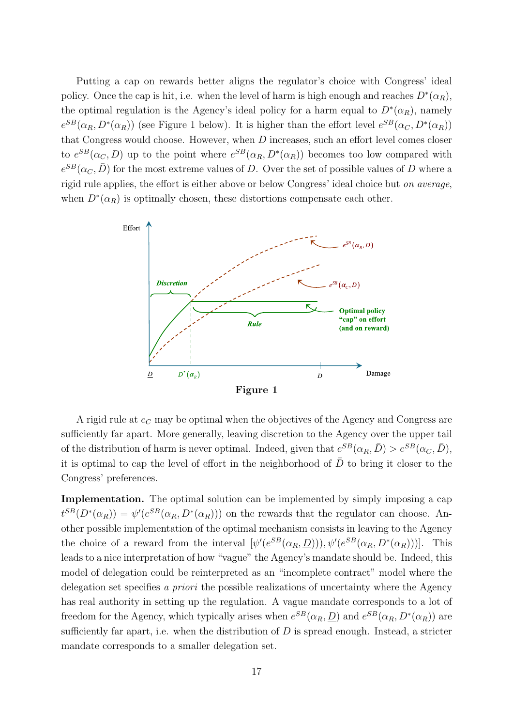Putting a cap on rewards better aligns the regulator's choice with Congress' ideal policy. Once the cap is hit, i.e. when the level of harm is high enough and reaches  $D^*(\alpha_R)$ , the optimal regulation is the Agency's ideal policy for a harm equal to  $D^*(\alpha_R)$ , namely  $e^{SB}(\alpha_R, D^*(\alpha_R))$  (see Figure 1 below). It is higher than the effort level  $e^{SB}(\alpha_C, D^*(\alpha_R))$ that Congress would choose. However, when D increases, such an effort level comes closer to  $e^{SB}(\alpha_C, D)$  up to the point where  $e^{SB}(\alpha_R, D^*(\alpha_R))$  becomes too low compared with  $e^{SB}(\alpha_C, \bar{D})$  for the most extreme values of D. Over the set of possible values of D where a rigid rule applies, the effort is either above or below Congress' ideal choice but on average, when  $D^*(\alpha_R)$  is optimally chosen, these distortions compensate each other.



Figure 1

A rigid rule at  $e_C$  may be optimal when the objectives of the Agency and Congress are sufficiently far apart. More generally, leaving discretion to the Agency over the upper tail of the distribution of harm is never optimal. Indeed, given that  $e^{SB}(\alpha_R, \bar{D}) > e^{SB}(\alpha_C, \bar{D}),$ it is optimal to cap the level of effort in the neighborhood of  $\bar{D}$  to bring it closer to the Congress' preferences.

Implementation. The optimal solution can be implemented by simply imposing a cap  $t^{SB}(D^*(\alpha_R)) = \psi'(e^{SB}(\alpha_R, D^*(\alpha_R)))$  on the rewards that the regulator can choose. Another possible implementation of the optimal mechanism consists in leaving to the Agency the choice of a reward from the interval  $[\psi'(e^{SB}(\alpha_R, \underline{D}))), \psi'(e^{SB}(\alpha_R, D^*(\alpha_R)))]$ . This leads to a nice interpretation of how "vague" the Agency's mandate should be. Indeed, this model of delegation could be reinterpreted as an "incomplete contract" model where the delegation set specifies a priori the possible realizations of uncertainty where the Agency has real authority in setting up the regulation. A vague mandate corresponds to a lot of freedom for the Agency, which typically arises when  $e^{SB}(\alpha_R, \underline{D})$  and  $e^{SB}(\alpha_R, D^*(\alpha_R))$  are sufficiently far apart, i.e. when the distribution of  $D$  is spread enough. Instead, a stricter mandate corresponds to a smaller delegation set.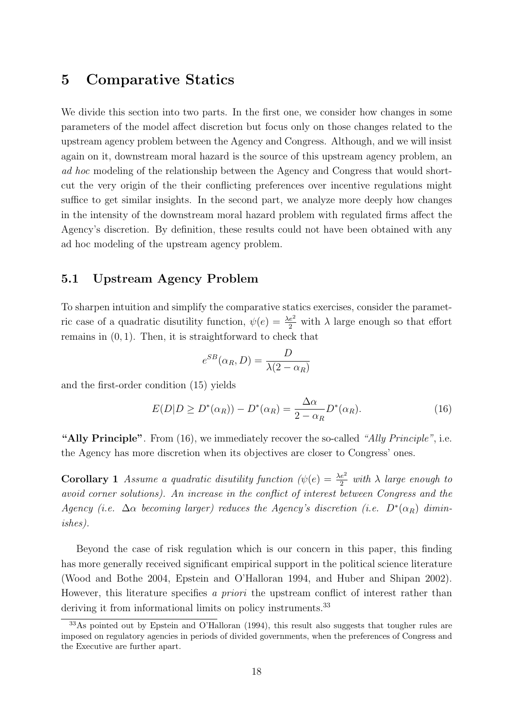### 5 Comparative Statics

We divide this section into two parts. In the first one, we consider how changes in some parameters of the model affect discretion but focus only on those changes related to the upstream agency problem between the Agency and Congress. Although, and we will insist again on it, downstream moral hazard is the source of this upstream agency problem, an ad hoc modeling of the relationship between the Agency and Congress that would shortcut the very origin of the their conflicting preferences over incentive regulations might suffice to get similar insights. In the second part, we analyze more deeply how changes in the intensity of the downstream moral hazard problem with regulated firms affect the Agency's discretion. By definition, these results could not have been obtained with any ad hoc modeling of the upstream agency problem.

#### 5.1 Upstream Agency Problem

To sharpen intuition and simplify the comparative statics exercises, consider the parametric case of a quadratic disutility function,  $\psi(e) = \frac{\lambda e^2}{2}$  with  $\lambda$  large enough so that effort remains in  $(0, 1)$ . Then, it is straightforward to check that

$$
e^{SB}(\alpha_R, D) = \frac{D}{\lambda(2 - \alpha_R)}
$$

and the first-order condition (15) yields

$$
E(D|D \ge D^*(\alpha_R)) - D^*(\alpha_R) = \frac{\Delta \alpha}{2 - \alpha_R} D^*(\alpha_R). \tag{16}
$$

"Ally Principle". From  $(16)$ , we immediately recover the so-called "Ally Principle", i.e. the Agency has more discretion when its objectives are closer to Congress' ones.

**Corollary 1** Assume a quadratic disutility function  $(\psi(e) = \frac{\lambda e^2}{2}$  with  $\lambda$  large enough to avoid corner solutions). An increase in the conflict of interest between Congress and the Agency (i.e.  $\Delta \alpha$  becoming larger) reduces the Agency's discretion (i.e.  $D^*(\alpha_R)$  diminishes).

Beyond the case of risk regulation which is our concern in this paper, this finding has more generally received significant empirical support in the political science literature (Wood and Bothe 2004, Epstein and O'Halloran 1994, and Huber and Shipan 2002). However, this literature specifies a *priori* the upstream conflict of interest rather than deriving it from informational limits on policy instruments.<sup>33</sup>

<sup>&</sup>lt;sup>33</sup>As pointed out by Epstein and O'Halloran (1994), this result also suggests that tougher rules are imposed on regulatory agencies in periods of divided governments, when the preferences of Congress and the Executive are further apart.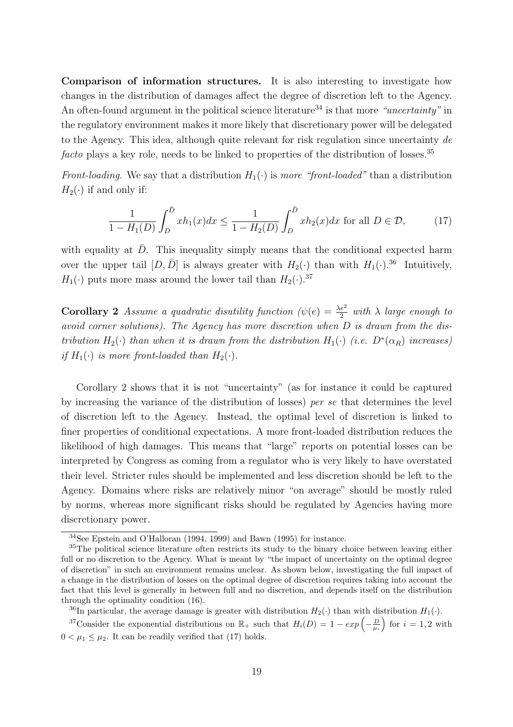Comparison of information structures. It is also interesting to investigate how changes in the distribution of damages affect the degree of discretion left to the Agency. An often-found argument in the political science literature<sup>34</sup> is that more "uncertainty" in the regulatory environment makes it more likely that discretionary power will be delegated to the Agency. This idea, although quite relevant for risk regulation since uncertainty de facto plays a key role, needs to be linked to properties of the distribution of losses.<sup>35</sup>

Front-loading. We say that a distribution  $H_1(\cdot)$  is more "front-loaded" than a distribution  $H_2(\cdot)$  if and only if:

$$
\frac{1}{1 - H_1(D)} \int_D^{\bar{D}} x h_1(x) dx \le \frac{1}{1 - H_2(D)} \int_D^{\bar{D}} x h_2(x) dx \text{ for all } D \in \mathcal{D},\tag{17}
$$

with equality at  $\bar{D}$ . This inequality simply means that the conditional expected harm over the upper tail  $[D, \bar{D}]$  is always greater with  $H_2(\cdot)$  than with  $H_1(\cdot)$ .<sup>36</sup> Intuitively,  $H_1(\cdot)$  puts more mass around the lower tail than  $H_2(\cdot)$ .<sup>37</sup>

**Corollary 2** Assume a quadratic disutility function  $(\psi(e) = \frac{\lambda e^2}{2}$  with  $\lambda$  large enough to avoid corner solutions). The Agency has more discretion when D is drawn from the distribution  $H_2(\cdot)$  than when it is drawn from the distribution  $H_1(\cdot)$  (i.e.  $D^*(\alpha_R)$  increases) if  $H_1(\cdot)$  is more front-loaded than  $H_2(\cdot)$ .

Corollary 2 shows that it is not "uncertainty" (as for instance it could be captured by increasing the variance of the distribution of losses) per se that determines the level of discretion left to the Agency. Instead, the optimal level of discretion is linked to finer properties of conditional expectations. A more front-loaded distribution reduces the likelihood of high damages. This means that "large" reports on potential losses can be interpreted by Congress as coming from a regulator who is very likely to have overstated their level. Stricter rules should be implemented and less discretion should be left to the Agency. Domains where risks are relatively minor "on average" should be mostly ruled by norms, whereas more significant risks should be regulated by Agencies having more discretionary power.

<sup>36</sup>In particular, the average damage is greater with distribution  $H_2(\cdot)$  than with distribution  $H_1(\cdot)$ .

<sup>37</sup>Consider the exponential distributions on  $\mathbb{R}_+$  such that  $H_i(D) = 1 - exp\left(-\frac{D}{\mu_i}\right)$  for  $i = 1, 2$  with  $0 < \mu_1 \leq \mu_2$ . It can be readily verified that (17) holds.

<sup>34</sup>See Epstein and O'Halloran (1994, 1999) and Bawn (1995) for instance.

<sup>35</sup>The political science literature often restricts its study to the binary choice between leaving either full or no discretion to the Agency. What is meant by "the impact of uncertainty on the optimal degree of discretion" in such an environment remains unclear. As shown below, investigating the full impact of a change in the distribution of losses on the optimal degree of discretion requires taking into account the fact that this level is generally in between full and no discretion, and depends itself on the distribution through the optimality condition (16).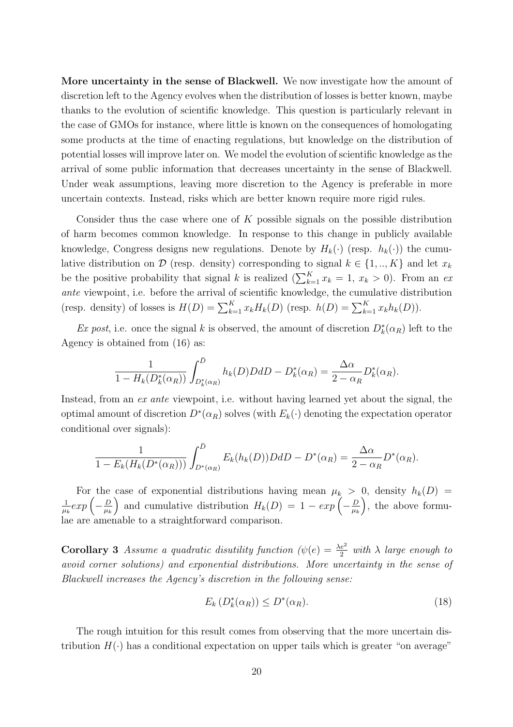More uncertainty in the sense of Blackwell. We now investigate how the amount of discretion left to the Agency evolves when the distribution of losses is better known, maybe thanks to the evolution of scientific knowledge. This question is particularly relevant in the case of GMOs for instance, where little is known on the consequences of homologating some products at the time of enacting regulations, but knowledge on the distribution of potential losses will improve later on. We model the evolution of scientific knowledge as the arrival of some public information that decreases uncertainty in the sense of Blackwell. Under weak assumptions, leaving more discretion to the Agency is preferable in more uncertain contexts. Instead, risks which are better known require more rigid rules.

Consider thus the case where one of  $K$  possible signals on the possible distribution of harm becomes common knowledge. In response to this change in publicly available knowledge, Congress designs new regulations. Denote by  $H_k(\cdot)$  (resp.  $h_k(\cdot)$ ) the cumulative distribution on  $D$  (resp. density) corresponding to signal  $k \in \{1, ..., K\}$  and let  $x_k$ be the positive probability that signal k is realized  $(\sum_{k=1}^{K} x_k = 1, x_k > 0)$ . From an ex ante viewpoint, i.e. before the arrival of scientific knowledge, the cumulative distribution (resp. density) of losses is  $H(D) = \sum_{k=1}^{K} x_k H_k(D)$  (resp.  $h(D) = \sum_{k=1}^{K} x_k h_k(D)$ ).

Ex post, i.e. once the signal k is observed, the amount of discretion  $D_k^*(\alpha_R)$  left to the Agency is obtained from (16) as:

$$
\frac{1}{1-H_k(D_k^*(\alpha_R))} \int_{D_k^*(\alpha_R)}^{\bar{D}} h_k(D) D dD - D_k^*(\alpha_R) = \frac{\Delta \alpha}{2 - \alpha_R} D_k^*(\alpha_R).
$$

Instead, from an ex ante viewpoint, i.e. without having learned yet about the signal, the optimal amount of discretion  $D^*(\alpha_R)$  solves (with  $E_k(\cdot)$  denoting the expectation operator conditional over signals):

$$
\frac{1}{1-E_k(H_k(D^*(\alpha_R)))}\int_{D^*(\alpha_R)}^{\bar{D}}E_k(h_k(D))DdD-D^*(\alpha_R)=\frac{\Delta\alpha}{2-\alpha_R}D^*(\alpha_R).
$$

For the case of exponential distributions having mean  $\mu_k > 0$ , density  $h_k(D) =$ 1 For the  $\frac{1}{\mu_k} exp \left( - \frac{D}{\mu_k} \right)$  $\mu_k$ case of exponential distributions having mean  $\mu_k$  ><br>
) and cumulative distribution  $H_k(D) = 1 - exp(-\frac{D}{\mu_k})$  $\mu_k$  $\frac{0}{1}$ , the above formulae are amenable to a straightforward comparison.

**Corollary 3** Assume a quadratic disutility function  $(\psi(e) = \frac{\lambda e^2}{2}$  with  $\lambda$  large enough to avoid corner solutions) and exponential distributions. More uncertainty in the sense of Blackwell increases the Agency's discretion in the following sense:

$$
E_k\left(D_k^*(\alpha_R)\right) \le D^*(\alpha_R). \tag{18}
$$

The rough intuition for this result comes from observing that the more uncertain distribution  $H(\cdot)$  has a conditional expectation on upper tails which is greater "on average"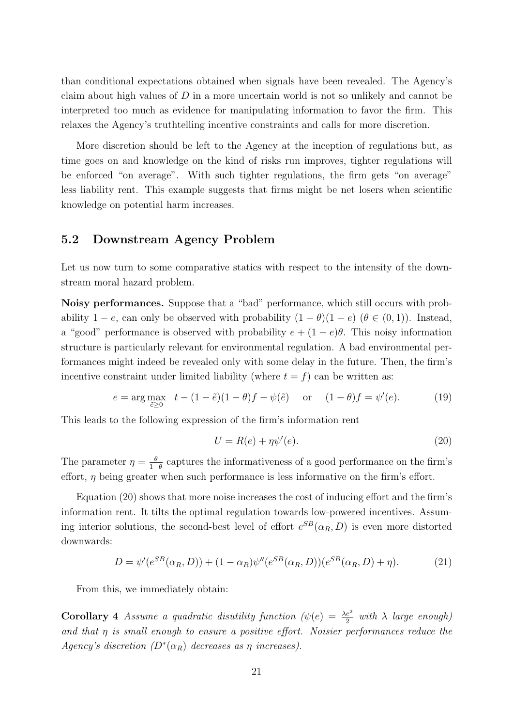than conditional expectations obtained when signals have been revealed. The Agency's claim about high values of  $D$  in a more uncertain world is not so unlikely and cannot be interpreted too much as evidence for manipulating information to favor the firm. This relaxes the Agency's truthtelling incentive constraints and calls for more discretion.

More discretion should be left to the Agency at the inception of regulations but, as time goes on and knowledge on the kind of risks run improves, tighter regulations will be enforced "on average". With such tighter regulations, the firm gets "on average" less liability rent. This example suggests that firms might be net losers when scientific knowledge on potential harm increases.

#### 5.2 Downstream Agency Problem

Let us now turn to some comparative statics with respect to the intensity of the downstream moral hazard problem.

Noisy performances. Suppose that a "bad" performance, which still occurs with probability  $1 - e$ , can only be observed with probability  $(1 - \theta)(1 - e)$  ( $\theta \in (0, 1)$ ). Instead, a "good" performance is observed with probability  $e + (1 - e)\theta$ . This noisy information structure is particularly relevant for environmental regulation. A bad environmental performances might indeed be revealed only with some delay in the future. Then, the firm's incentive constraint under limited liability (where  $t = f$ ) can be written as:

$$
e = \arg \max_{\tilde{e} \ge 0} \quad t - (1 - \tilde{e})(1 - \theta)f - \psi(\tilde{e}) \quad \text{or} \quad (1 - \theta)f = \psi'(e). \tag{19}
$$

This leads to the following expression of the firm's information rent

$$
U = R(e) + \eta \psi'(e). \tag{20}
$$

The parameter  $\eta = \frac{\theta}{1-\theta}$  $\frac{\theta}{1-\theta}$  captures the informativeness of a good performance on the firm's effort,  $\eta$  being greater when such performance is less informative on the firm's effort.

Equation (20) shows that more noise increases the cost of inducing effort and the firm's information rent. It tilts the optimal regulation towards low-powered incentives. Assuming interior solutions, the second-best level of effort  $e^{SB}(\alpha_R, D)$  is even more distorted downwards:

$$
D = \psi'(e^{SB}(\alpha_R, D)) + (1 - \alpha_R)\psi''(e^{SB}(\alpha_R, D))(e^{SB}(\alpha_R, D) + \eta). \tag{21}
$$

From this, we immediately obtain:

**Corollary 4** Assume a quadratic disutility function  $(\psi(e) = \frac{\lambda e^2}{2}$  with  $\lambda$  large enough) and that  $\eta$  is small enough to ensure a positive effort. Noisier performances reduce the Agency's discretion  $(D^*(\alpha_R)$  decreases as  $\eta$  increases).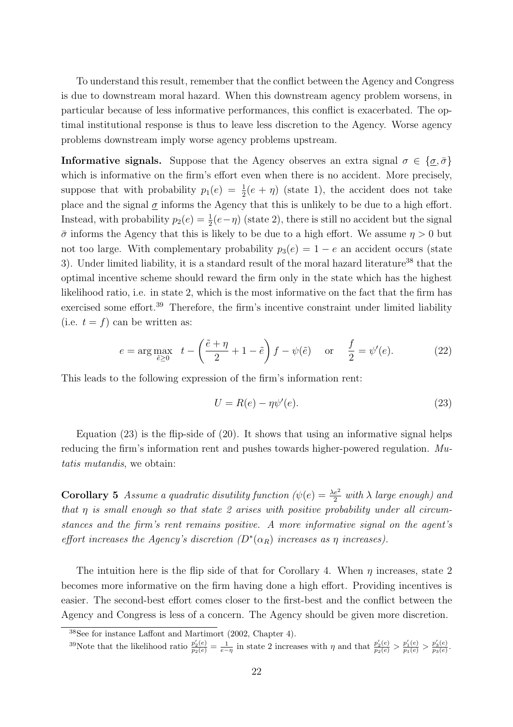To understand this result, remember that the conflict between the Agency and Congress is due to downstream moral hazard. When this downstream agency problem worsens, in particular because of less informative performances, this conflict is exacerbated. The optimal institutional response is thus to leave less discretion to the Agency. Worse agency problems downstream imply worse agency problems upstream.

**Informative signals.** Suppose that the Agency observes an extra signal  $\sigma \in {\sigma, \bar{\sigma}}$ which is informative on the firm's effort even when there is no accident. More precisely, suppose that with probability  $p_1(e) = \frac{1}{2}(e + \eta)$  (state 1), the accident does not take place and the signal  $\sigma$  informs the Agency that this is unlikely to be due to a high effort. Instead, with probability  $p_2(e) = \frac{1}{2}(e-\eta)$  (state 2), there is still no accident but the signal  $\bar{\sigma}$  informs the Agency that this is likely to be due to a high effort. We assume  $\eta > 0$  but not too large. With complementary probability  $p_3(e) = 1 - e$  an accident occurs (state 3). Under limited liability, it is a standard result of the moral hazard literature<sup>38</sup> that the optimal incentive scheme should reward the firm only in the state which has the highest likelihood ratio, i.e. in state 2, which is the most informative on the fact that the firm has exercised some effort.<sup>39</sup> Therefore, the firm's incentive constraint under limited liability (i.e.  $t = f$ ) can be written as:

$$
e = \arg \max_{\tilde{e} \ge 0} \quad t - \left(\frac{\tilde{e} + \eta}{2} + 1 - \tilde{e}\right) f - \psi(\tilde{e}) \quad \text{or} \quad \frac{f}{2} = \psi'(e). \tag{22}
$$

This leads to the following expression of the firm's information rent:

$$
U = R(e) - \eta \psi'(e). \tag{23}
$$

Equation  $(23)$  is the flip-side of  $(20)$ . It shows that using an informative signal helps reducing the firm's information rent and pushes towards higher-powered regulation. Mutatis mutandis, we obtain:

**Corollary 5** Assume a quadratic disutility function  $(\psi(e) = \frac{\lambda e^2}{2} \text{ with } \lambda \text{ large enough})$  and that  $\eta$  is small enough so that state 2 arises with positive probability under all circumstances and the firm's rent remains positive. A more informative signal on the agent's effort increases the Agency's discretion  $(D^*(\alpha_R))$  increases as  $\eta$  increases).

The intuition here is the flip side of that for Corollary 4. When  $\eta$  increases, state 2 becomes more informative on the firm having done a high effort. Providing incentives is easier. The second-best effort comes closer to the first-best and the conflict between the Agency and Congress is less of a concern. The Agency should be given more discretion.

<sup>39</sup>Note that the likelihood ratio  $\frac{p'_2(e)}{p_2(e)} = \frac{1}{e-\eta}$  in state 2 increases with  $\eta$  and that  $\frac{p'_2(e)}{p_2(e)} > \frac{p'_1(e)}{p_1(e)} > \frac{p'_3(e)}{p_3(e)}$  $\frac{p_3(e)}{p_3(e)}.$ 

<sup>38</sup>See for instance Laffont and Martimort (2002, Chapter 4).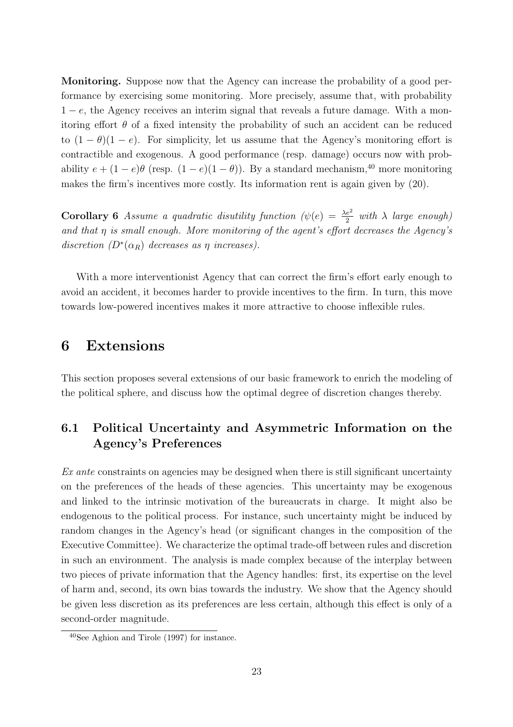Monitoring. Suppose now that the Agency can increase the probability of a good performance by exercising some monitoring. More precisely, assume that, with probability  $1 - e$ , the Agency receives an interim signal that reveals a future damage. With a monitoring effort  $\theta$  of a fixed intensity the probability of such an accident can be reduced to  $(1 - \theta)(1 - e)$ . For simplicity, let us assume that the Agency's monitoring effort is contractible and exogenous. A good performance (resp. damage) occurs now with probability  $e + (1 - e)\theta$  (resp.  $(1 - e)(1 - \theta)$ ). By a standard mechanism,<sup>40</sup> more monitoring makes the firm's incentives more costly. Its information rent is again given by (20).

**Corollary 6** Assume a quadratic disutility function  $(\psi(e) = \frac{\lambda e^2}{2}$  with  $\lambda$  large enough) and that  $\eta$  is small enough. More monitoring of the agent's effort decreases the Agency's discretion  $(D^*(\alpha_R)$  decreases as  $\eta$  increases).

With a more interventionist Agency that can correct the firm's effort early enough to avoid an accident, it becomes harder to provide incentives to the firm. In turn, this move towards low-powered incentives makes it more attractive to choose inflexible rules.

### 6 Extensions

This section proposes several extensions of our basic framework to enrich the modeling of the political sphere, and discuss how the optimal degree of discretion changes thereby.

### 6.1 Political Uncertainty and Asymmetric Information on the Agency's Preferences

 $Ex$  ante constraints on agencies may be designed when there is still significant uncertainty on the preferences of the heads of these agencies. This uncertainty may be exogenous and linked to the intrinsic motivation of the bureaucrats in charge. It might also be endogenous to the political process. For instance, such uncertainty might be induced by random changes in the Agency's head (or significant changes in the composition of the Executive Committee). We characterize the optimal trade-off between rules and discretion in such an environment. The analysis is made complex because of the interplay between two pieces of private information that the Agency handles: first, its expertise on the level of harm and, second, its own bias towards the industry. We show that the Agency should be given less discretion as its preferences are less certain, although this effect is only of a second-order magnitude.

<sup>40</sup>See Aghion and Tirole (1997) for instance.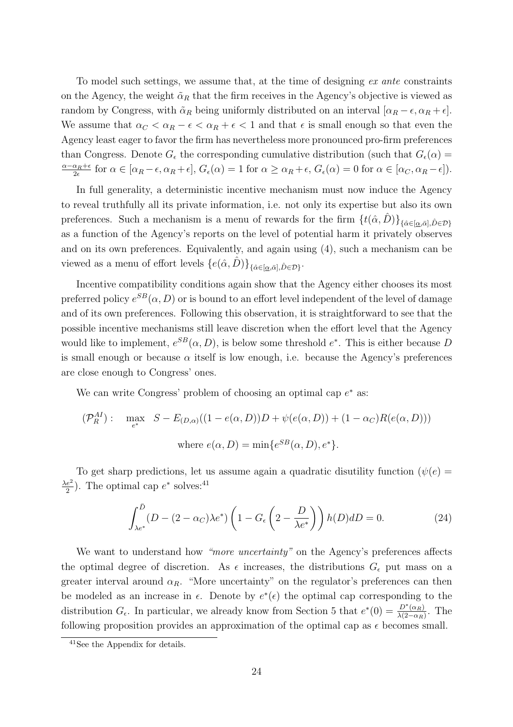To model such settings, we assume that, at the time of designing ex ante constraints on the Agency, the weight  $\tilde{\alpha}_R$  that the firm receives in the Agency's objective is viewed as random by Congress, with  $\tilde{\alpha}_R$  being uniformly distributed on an interval  $[\alpha_R - \epsilon, \alpha_R + \epsilon]$ . We assume that  $\alpha_C < \alpha_R - \epsilon < \alpha_R + \epsilon < 1$  and that  $\epsilon$  is small enough so that even the Agency least eager to favor the firm has nevertheless more pronounced pro-firm preferences than Congress. Denote  $G_{\epsilon}$  the corresponding cumulative distribution (such that  $G_{\epsilon}(\alpha)$ )  $\frac{\alpha-\alpha_R+\epsilon}{\sigma}$  $\frac{\alpha_R+\epsilon}{2\epsilon}$  for  $\alpha \in [\alpha_R-\epsilon, \alpha_R+\epsilon]$ ,  $G_{\epsilon}(\alpha) = 1$  for  $\alpha \geq \alpha_R+\epsilon$ ,  $G_{\epsilon}(\alpha) = 0$  for  $\alpha \in [\alpha_C, \alpha_R-\epsilon]$ ).

In full generality, a deterministic incentive mechanism must now induce the Agency to reveal truthfully all its private information, i.e. not only its expertise but also its own preferences. Such a mechanism is a menu of rewards for the firm  $\{t(\hat{\alpha}, \hat{D})\}_{\{\hat{\alpha}\in[\underline{\alpha}, \bar{\alpha}], \hat{D}\in \mathcal{D}\}}$ as a function of the Agency's reports on the level of potential harm it privately observes and on its own preferences. Equivalently, and again using (4), such a mechanism can be viewed as a menu of effort levels  $\{e(\hat{\alpha}, \hat{D})\}_{\{\hat{\alpha}\in[\underline{\alpha},\bar{\alpha}],\hat{D}\in\mathcal{D}\}}$ .

Incentive compatibility conditions again show that the Agency either chooses its most preferred policy  $e^{SB}(\alpha, D)$  or is bound to an effort level independent of the level of damage and of its own preferences. Following this observation, it is straightforward to see that the possible incentive mechanisms still leave discretion when the effort level that the Agency would like to implement,  $e^{SB}(\alpha, D)$ , is below some threshold  $e^*$ . This is either because D is small enough or because  $\alpha$  itself is low enough, i.e. because the Agency's preferences are close enough to Congress' ones.

We can write Congress' problem of choosing an optimal cap  $e^*$  as:

$$
(\mathcal{P}_R^{AI}) : \max_{e^*} S - E_{(D,\alpha)}((1 - e(\alpha, D))D + \psi(e(\alpha, D)) + (1 - \alpha_C)R(e(\alpha, D)))
$$
  
where  $e(\alpha, D) = \min\{e^{SB}(\alpha, D), e^*\}.$ 

To get sharp predictions, let us assume again a quadratic disutility function  $(\psi(e))$  $\lambda e^2$  $\frac{e^2}{2}$ ). The optimal cap  $e^*$  solves:<sup>41</sup>

$$
\int_{\lambda e^*}^{\bar{D}} (D - (2 - \alpha_C)\lambda e^*) \left(1 - G_{\epsilon} \left(2 - \frac{D}{\lambda e^*}\right)\right) h(D) dD = 0.
$$
 (24)

We want to understand how "more uncertainty" on the Agency's preferences affects the optimal degree of discretion. As  $\epsilon$  increases, the distributions  $G_{\epsilon}$  put mass on a greater interval around  $\alpha_R$ . "More uncertainty" on the regulator's preferences can then be modeled as an increase in  $\epsilon$ . Denote by  $e^*(\epsilon)$  the optimal cap corresponding to the distribution  $G_{\epsilon}$ . In particular, we already know from Section 5 that  $e^*(0) = \frac{D^*(\alpha_R)}{\lambda(2-\alpha_R)}$ . The following proposition provides an approximation of the optimal cap as  $\epsilon$  becomes small.

<sup>41</sup>See the Appendix for details.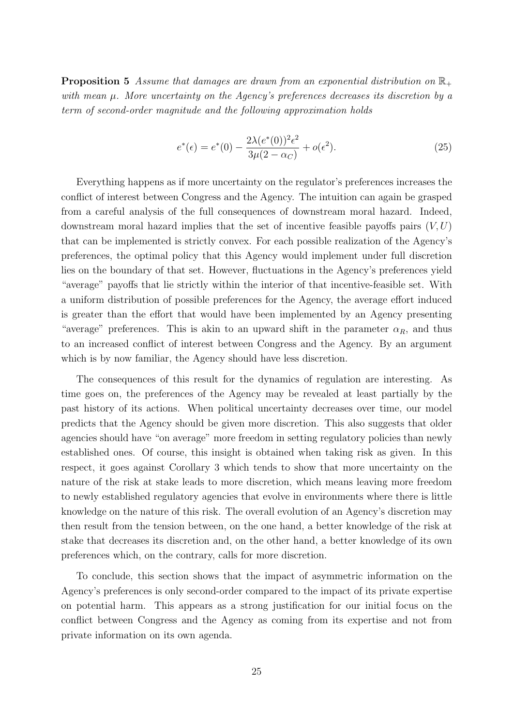**Proposition 5** Assume that damages are drawn from an exponential distribution on  $\mathbb{R}_+$ with mean  $\mu$ . More uncertainty on the Agency's preferences decreases its discretion by a term of second-order magnitude and the following approximation holds

$$
e^*(\epsilon) = e^*(0) - \frac{2\lambda(e^*(0))^2 \epsilon^2}{3\mu(2 - \alpha_C)} + o(\epsilon^2).
$$
 (25)

Everything happens as if more uncertainty on the regulator's preferences increases the conflict of interest between Congress and the Agency. The intuition can again be grasped from a careful analysis of the full consequences of downstream moral hazard. Indeed, downstream moral hazard implies that the set of incentive feasible payoffs pairs  $(V, U)$ that can be implemented is strictly convex. For each possible realization of the Agency's preferences, the optimal policy that this Agency would implement under full discretion lies on the boundary of that set. However, fluctuations in the Agency's preferences yield "average" payoffs that lie strictly within the interior of that incentive-feasible set. With a uniform distribution of possible preferences for the Agency, the average effort induced is greater than the effort that would have been implemented by an Agency presenting "average" preferences. This is akin to an upward shift in the parameter  $\alpha_R$ , and thus to an increased conflict of interest between Congress and the Agency. By an argument which is by now familiar, the Agency should have less discretion.

The consequences of this result for the dynamics of regulation are interesting. As time goes on, the preferences of the Agency may be revealed at least partially by the past history of its actions. When political uncertainty decreases over time, our model predicts that the Agency should be given more discretion. This also suggests that older agencies should have "on average" more freedom in setting regulatory policies than newly established ones. Of course, this insight is obtained when taking risk as given. In this respect, it goes against Corollary 3 which tends to show that more uncertainty on the nature of the risk at stake leads to more discretion, which means leaving more freedom to newly established regulatory agencies that evolve in environments where there is little knowledge on the nature of this risk. The overall evolution of an Agency's discretion may then result from the tension between, on the one hand, a better knowledge of the risk at stake that decreases its discretion and, on the other hand, a better knowledge of its own preferences which, on the contrary, calls for more discretion.

To conclude, this section shows that the impact of asymmetric information on the Agency's preferences is only second-order compared to the impact of its private expertise on potential harm. This appears as a strong justification for our initial focus on the conflict between Congress and the Agency as coming from its expertise and not from private information on its own agenda.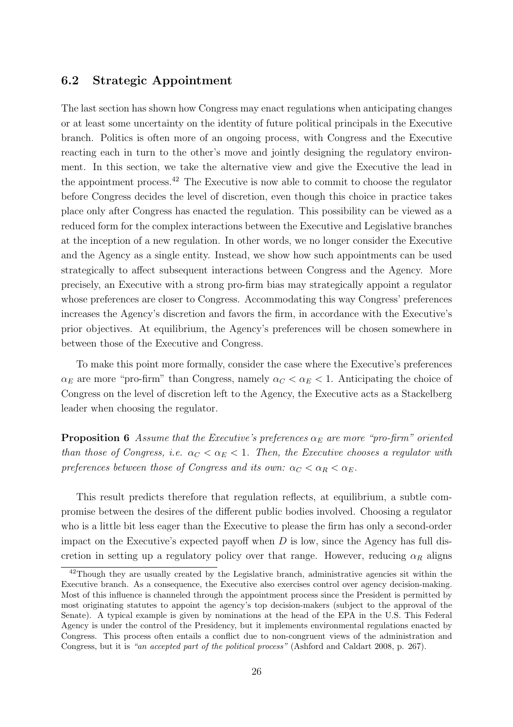#### 6.2 Strategic Appointment

The last section has shown how Congress may enact regulations when anticipating changes or at least some uncertainty on the identity of future political principals in the Executive branch. Politics is often more of an ongoing process, with Congress and the Executive reacting each in turn to the other's move and jointly designing the regulatory environment. In this section, we take the alternative view and give the Executive the lead in the appointment process.<sup>42</sup> The Executive is now able to commit to choose the regulator before Congress decides the level of discretion, even though this choice in practice takes place only after Congress has enacted the regulation. This possibility can be viewed as a reduced form for the complex interactions between the Executive and Legislative branches at the inception of a new regulation. In other words, we no longer consider the Executive and the Agency as a single entity. Instead, we show how such appointments can be used strategically to affect subsequent interactions between Congress and the Agency. More precisely, an Executive with a strong pro-firm bias may strategically appoint a regulator whose preferences are closer to Congress. Accommodating this way Congress' preferences increases the Agency's discretion and favors the firm, in accordance with the Executive's prior objectives. At equilibrium, the Agency's preferences will be chosen somewhere in between those of the Executive and Congress.

To make this point more formally, consider the case where the Executive's preferences  $\alpha_E$  are more "pro-firm" than Congress, namely  $\alpha_C < \alpha_E < 1$ . Anticipating the choice of Congress on the level of discretion left to the Agency, the Executive acts as a Stackelberg leader when choosing the regulator.

**Proposition 6** Assume that the Executive's preferences  $\alpha_E$  are more "pro-firm" oriented than those of Congress, i.e.  $\alpha_C < \alpha_E < 1$ . Then, the Executive chooses a regulator with preferences between those of Congress and its own:  $\alpha_C < \alpha_R < \alpha_E$ .

This result predicts therefore that regulation reflects, at equilibrium, a subtle compromise between the desires of the different public bodies involved. Choosing a regulator who is a little bit less eager than the Executive to please the firm has only a second-order impact on the Executive's expected payoff when  $D$  is low, since the Agency has full discretion in setting up a regulatory policy over that range. However, reducing  $\alpha_R$  aligns

<sup>&</sup>lt;sup>42</sup>Though they are usually created by the Legislative branch, administrative agencies sit within the Executive branch. As a consequence, the Executive also exercises control over agency decision-making. Most of this influence is channeled through the appointment process since the President is permitted by most originating statutes to appoint the agency's top decision-makers (subject to the approval of the Senate). A typical example is given by nominations at the head of the EPA in the U.S. This Federal Agency is under the control of the Presidency, but it implements environmental regulations enacted by Congress. This process often entails a conflict due to non-congruent views of the administration and Congress, but it is "an accepted part of the political process" (Ashford and Caldart 2008, p. 267).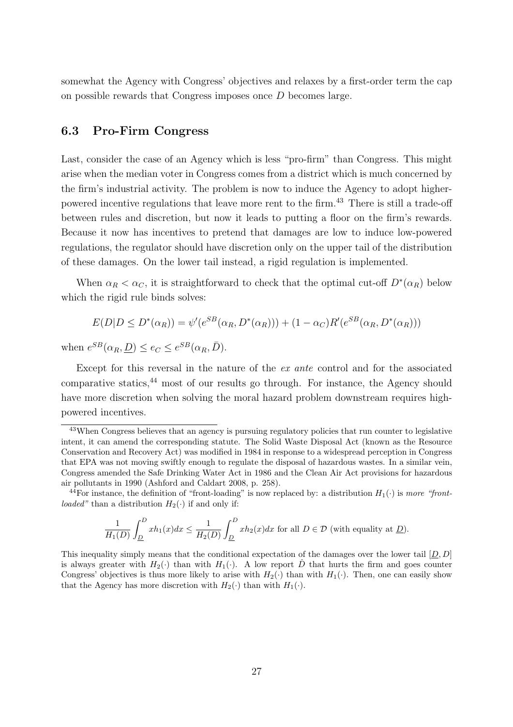somewhat the Agency with Congress' objectives and relaxes by a first-order term the cap on possible rewards that Congress imposes once D becomes large.

#### 6.3 Pro-Firm Congress

Last, consider the case of an Agency which is less "pro-firm" than Congress. This might arise when the median voter in Congress comes from a district which is much concerned by the firm's industrial activity. The problem is now to induce the Agency to adopt higherpowered incentive regulations that leave more rent to the firm.<sup>43</sup> There is still a trade-off between rules and discretion, but now it leads to putting a floor on the firm's rewards. Because it now has incentives to pretend that damages are low to induce low-powered regulations, the regulator should have discretion only on the upper tail of the distribution of these damages. On the lower tail instead, a rigid regulation is implemented.

When  $\alpha_R < \alpha_C$ , it is straightforward to check that the optimal cut-off  $D^*(\alpha_R)$  below which the rigid rule binds solves:

$$
E(D|D \le D^*(\alpha_R)) = \psi'(e^{SB}(\alpha_R, D^*(\alpha_R))) + (1 - \alpha_C)R'(e^{SB}(\alpha_R, D^*(\alpha_R)))
$$

when  $e^{SB}(\alpha_R, \underline{D}) \leq e_C \leq e^{SB}(\alpha_R, \overline{D}).$ 

Except for this reversal in the nature of the ex ante control and for the associated comparative statics,<sup>44</sup> most of our results go through. For instance, the Agency should have more discretion when solving the moral hazard problem downstream requires highpowered incentives.

$$
\frac{1}{H_1(D)}\int_{\underline{D}}^D xh_1(x)dx \le \frac{1}{H_2(D)}\int_{\underline{D}}^D xh_2(x)dx
$$
 for all  $D \in \mathcal{D}$  (with equality at  $\underline{D}$ ).

This inequality simply means that the conditional expectation of the damages over the lower tail  $[D, D]$ is always greater with  $H_2(\cdot)$  than with  $H_1(\cdot)$ . A low report  $\hat{D}$  that hurts the firm and goes counter Congress' objectives is thus more likely to arise with  $H_2(\cdot)$  than with  $H_1(\cdot)$ . Then, one can easily show that the Agency has more discretion with  $H_2(\cdot)$  than with  $H_1(\cdot)$ .

<sup>43</sup>When Congress believes that an agency is pursuing regulatory policies that run counter to legislative intent, it can amend the corresponding statute. The Solid Waste Disposal Act (known as the Resource Conservation and Recovery Act) was modified in 1984 in response to a widespread perception in Congress that EPA was not moving swiftly enough to regulate the disposal of hazardous wastes. In a similar vein, Congress amended the Safe Drinking Water Act in 1986 and the Clean Air Act provisions for hazardous air pollutants in 1990 (Ashford and Caldart 2008, p. 258).

<sup>&</sup>lt;sup>44</sup>For instance, the definition of "front-loading" is now replaced by: a distribution  $H_1(\cdot)$  is more "frontloaded" than a distribution  $H_2(\cdot)$  if and only if: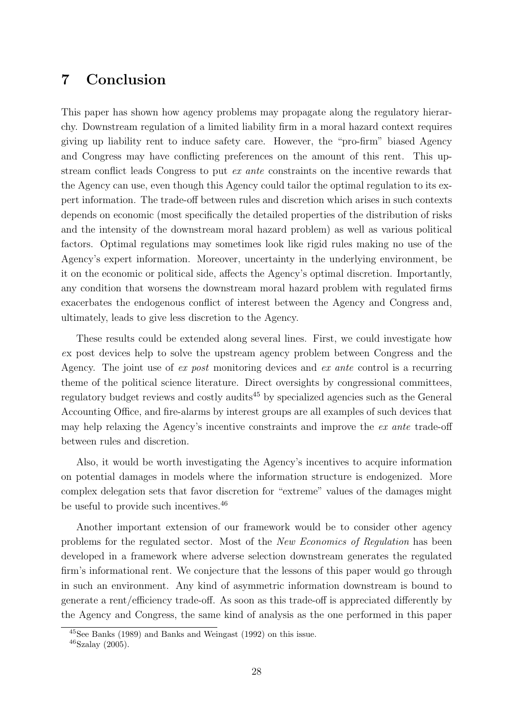# 7 Conclusion

This paper has shown how agency problems may propagate along the regulatory hierarchy. Downstream regulation of a limited liability firm in a moral hazard context requires giving up liability rent to induce safety care. However, the "pro-firm" biased Agency and Congress may have conflicting preferences on the amount of this rent. This upstream conflict leads Congress to put ex ante constraints on the incentive rewards that the Agency can use, even though this Agency could tailor the optimal regulation to its expert information. The trade-off between rules and discretion which arises in such contexts depends on economic (most specifically the detailed properties of the distribution of risks and the intensity of the downstream moral hazard problem) as well as various political factors. Optimal regulations may sometimes look like rigid rules making no use of the Agency's expert information. Moreover, uncertainty in the underlying environment, be it on the economic or political side, affects the Agency's optimal discretion. Importantly, any condition that worsens the downstream moral hazard problem with regulated firms exacerbates the endogenous conflict of interest between the Agency and Congress and, ultimately, leads to give less discretion to the Agency.

These results could be extended along several lines. First, we could investigate how ex post devices help to solve the upstream agency problem between Congress and the Agency. The joint use of ex post monitoring devices and ex ante control is a recurring theme of the political science literature. Direct oversights by congressional committees, regulatory budget reviews and costly audits<sup>45</sup> by specialized agencies such as the General Accounting Office, and fire-alarms by interest groups are all examples of such devices that may help relaxing the Agency's incentive constraints and improve the ex ante trade-off between rules and discretion.

Also, it would be worth investigating the Agency's incentives to acquire information on potential damages in models where the information structure is endogenized. More complex delegation sets that favor discretion for "extreme" values of the damages might be useful to provide such incentives.<sup>46</sup>

Another important extension of our framework would be to consider other agency problems for the regulated sector. Most of the New Economics of Regulation has been developed in a framework where adverse selection downstream generates the regulated firm's informational rent. We conjecture that the lessons of this paper would go through in such an environment. Any kind of asymmetric information downstream is bound to generate a rent/efficiency trade-off. As soon as this trade-off is appreciated differently by the Agency and Congress, the same kind of analysis as the one performed in this paper

<sup>45</sup>See Banks (1989) and Banks and Weingast (1992) on this issue.

<sup>46</sup>Szalay (2005).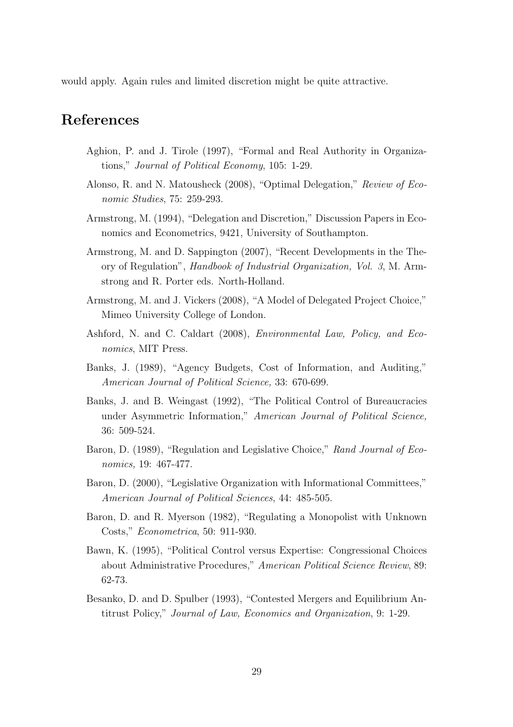would apply. Again rules and limited discretion might be quite attractive.

## References

- Aghion, P. and J. Tirole (1997), "Formal and Real Authority in Organizations," Journal of Political Economy, 105: 1-29.
- Alonso, R. and N. Matousheck (2008), "Optimal Delegation," Review of Economic Studies, 75: 259-293.
- Armstrong, M. (1994), "Delegation and Discretion," Discussion Papers in Economics and Econometrics, 9421, University of Southampton.
- Armstrong, M. and D. Sappington (2007), "Recent Developments in the Theory of Regulation", Handbook of Industrial Organization, Vol. 3, M. Armstrong and R. Porter eds. North-Holland.
- Armstrong, M. and J. Vickers (2008), "A Model of Delegated Project Choice," Mimeo University College of London.
- Ashford, N. and C. Caldart (2008), Environmental Law, Policy, and Economics, MIT Press.
- Banks, J. (1989), "Agency Budgets, Cost of Information, and Auditing," American Journal of Political Science, 33: 670-699.
- Banks, J. and B. Weingast (1992), "The Political Control of Bureaucracies under Asymmetric Information," American Journal of Political Science, 36: 509-524.
- Baron, D. (1989), "Regulation and Legislative Choice," Rand Journal of Economics, 19: 467-477.
- Baron, D. (2000), "Legislative Organization with Informational Committees," American Journal of Political Sciences, 44: 485-505.
- Baron, D. and R. Myerson (1982), "Regulating a Monopolist with Unknown Costs," Econometrica, 50: 911-930.
- Bawn, K. (1995), "Political Control versus Expertise: Congressional Choices about Administrative Procedures," American Political Science Review, 89: 62-73.
- Besanko, D. and D. Spulber (1993), "Contested Mergers and Equilibrium Antitrust Policy," Journal of Law, Economics and Organization, 9: 1-29.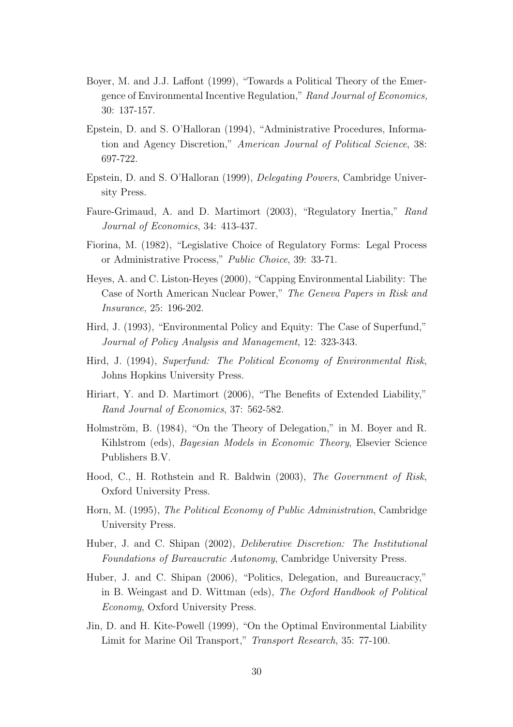- Boyer, M. and J.J. Laffont (1999), "Towards a Political Theory of the Emergence of Environmental Incentive Regulation," Rand Journal of Economics, 30: 137-157.
- Epstein, D. and S. O'Halloran (1994), "Administrative Procedures, Information and Agency Discretion," American Journal of Political Science, 38: 697-722.
- Epstein, D. and S. O'Halloran (1999), Delegating Powers, Cambridge University Press.
- Faure-Grimaud, A. and D. Martimort (2003), "Regulatory Inertia," Rand Journal of Economics, 34: 413-437.
- Fiorina, M. (1982), "Legislative Choice of Regulatory Forms: Legal Process or Administrative Process," Public Choice, 39: 33-71.
- Heyes, A. and C. Liston-Heyes (2000), "Capping Environmental Liability: The Case of North American Nuclear Power," The Geneva Papers in Risk and Insurance, 25: 196-202.
- Hird, J. (1993), "Environmental Policy and Equity: The Case of Superfund," Journal of Policy Analysis and Management, 12: 323-343.
- Hird, J. (1994), Superfund: The Political Economy of Environmental Risk, Johns Hopkins University Press.
- Hiriart, Y. and D. Martimort (2006), "The Benefits of Extended Liability," Rand Journal of Economics, 37: 562-582.
- Holmström, B. (1984), "On the Theory of Delegation," in M. Boyer and R. Kihlstrom (eds), *Bayesian Models in Economic Theory*, Elsevier Science Publishers B.V.
- Hood, C., H. Rothstein and R. Baldwin (2003), The Government of Risk, Oxford University Press.
- Horn, M. (1995), The Political Economy of Public Administration, Cambridge University Press.
- Huber, J. and C. Shipan (2002), Deliberative Discretion: The Institutional Foundations of Bureaucratic Autonomy, Cambridge University Press.
- Huber, J. and C. Shipan (2006), "Politics, Delegation, and Bureaucracy," in B. Weingast and D. Wittman (eds), The Oxford Handbook of Political Economy, Oxford University Press.
- Jin, D. and H. Kite-Powell (1999), "On the Optimal Environmental Liability Limit for Marine Oil Transport," Transport Research, 35: 77-100.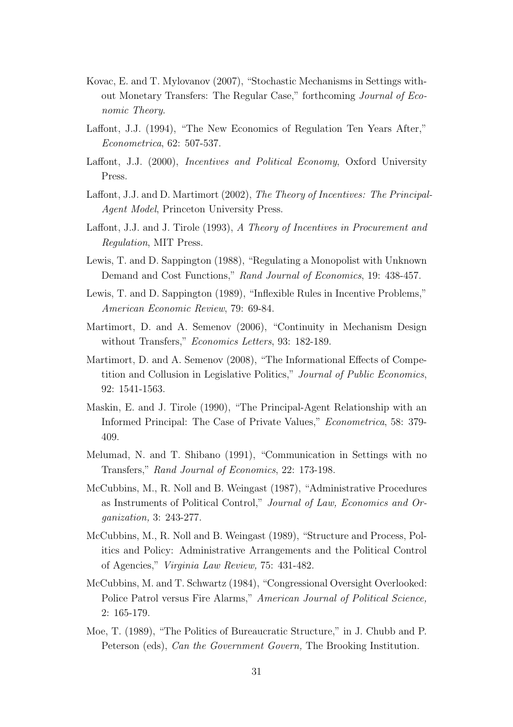- Kovac, E. and T. Mylovanov (2007), "Stochastic Mechanisms in Settings without Monetary Transfers: The Regular Case," forthcoming Journal of Economic Theory.
- Laffont, J.J. (1994), "The New Economics of Regulation Ten Years After," Econometrica, 62: 507-537.
- Laffont, J.J. (2000), Incentives and Political Economy, Oxford University Press.
- Laffont, J.J. and D. Martimort (2002), The Theory of Incentives: The Principal-Agent Model, Princeton University Press.
- Laffont, J.J. and J. Tirole (1993), A Theory of Incentives in Procurement and Regulation, MIT Press.
- Lewis, T. and D. Sappington (1988), "Regulating a Monopolist with Unknown Demand and Cost Functions," Rand Journal of Economics, 19: 438-457.
- Lewis, T. and D. Sappington (1989), "Inflexible Rules in Incentive Problems," American Economic Review, 79: 69-84.
- Martimort, D. and A. Semenov (2006), "Continuity in Mechanism Design without Transfers," *Economics Letters*, 93: 182-189.
- Martimort, D. and A. Semenov (2008), "The Informational Effects of Competition and Collusion in Legislative Politics," Journal of Public Economics, 92: 1541-1563.
- Maskin, E. and J. Tirole (1990), "The Principal-Agent Relationship with an Informed Principal: The Case of Private Values," Econometrica, 58: 379- 409.
- Melumad, N. and T. Shibano (1991), "Communication in Settings with no Transfers," Rand Journal of Economics, 22: 173-198.
- McCubbins, M., R. Noll and B. Weingast (1987), "Administrative Procedures as Instruments of Political Control," Journal of Law, Economics and Organization, 3: 243-277.
- McCubbins, M., R. Noll and B. Weingast (1989), "Structure and Process, Politics and Policy: Administrative Arrangements and the Political Control of Agencies," Virginia Law Review, 75: 431-482.
- McCubbins, M. and T. Schwartz (1984), "Congressional Oversight Overlooked: Police Patrol versus Fire Alarms," American Journal of Political Science, 2: 165-179.
- Moe, T. (1989), "The Politics of Bureaucratic Structure," in J. Chubb and P. Peterson (eds), Can the Government Govern, The Brooking Institution.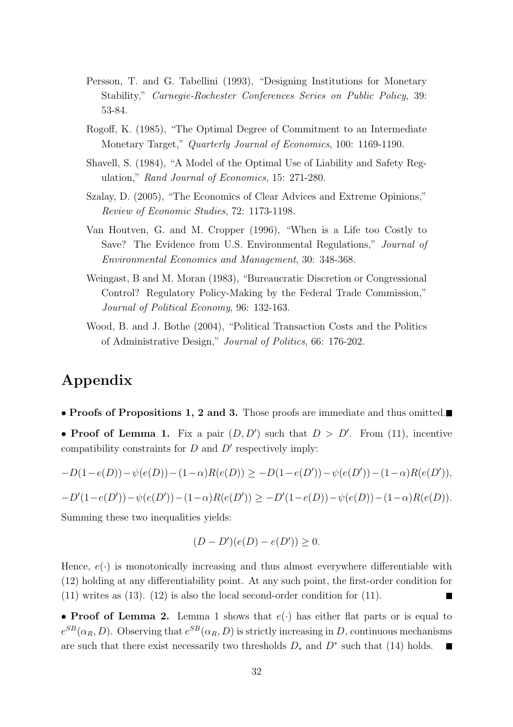- Persson, T. and G. Tabellini (1993), "Designing Institutions for Monetary Stability," Carnegie-Rochester Conferences Series on Public Policy, 39: 53-84.
- Rogoff, K. (1985), "The Optimal Degree of Commitment to an Intermediate Monetary Target," Quarterly Journal of Economics, 100: 1169-1190.
- Shavell, S. (1984), "A Model of the Optimal Use of Liability and Safety Regulation," Rand Journal of Economics, 15: 271-280.
- Szalay, D. (2005), "The Economics of Clear Advices and Extreme Opinions," Review of Economic Studies, 72: 1173-1198.
- Van Houtven, G. and M. Cropper (1996), "When is a Life too Costly to Save? The Evidence from U.S. Environmental Regulations," Journal of Environmental Economics and Management, 30: 348-368.
- Weingast, B and M. Moran (1983), "Bureaucratic Discretion or Congressional Control? Regulatory Policy-Making by the Federal Trade Commission," Journal of Political Economy, 96: 132-163.
- Wood, B. and J. Bothe (2004), "Political Transaction Costs and the Politics of Administrative Design," Journal of Politics, 66: 176-202.

# Appendix

• Proofs of Propositions 1, 2 and 3. Those proofs are immediate and thus omitted.

• Proof of Lemma 1. Fix a pair  $(D, D')$  such that  $D > D'$ . From (11), incentive compatibility constraints for  $D$  and  $D'$  respectively imply:

$$
-D(1-e(D)) - \psi(e(D)) - (1-\alpha)R(e(D)) \ge -D(1-e(D')) - \psi(e(D')) - (1-\alpha)R(e(D')),
$$

$$
-D'(1-e(D'))-\psi(e(D'))-(1-\alpha)R(e(D'))\geq -D'(1-e(D))-\psi(e(D))-(1-\alpha)R(e(D)).
$$

Summing these two inequalities yields:

$$
(D - D')(e(D) - e(D')) \ge 0.
$$

Hence,  $e(\cdot)$  is monotonically increasing and thus almost everywhere differentiable with (12) holding at any differentiability point. At any such point, the first-order condition for (11) writes as (13). (12) is also the local second-order condition for (11).

• Proof of Lemma 2. Lemma 1 shows that  $e(.)$  has either flat parts or is equal to  $e^{SB}(\alpha_R, D)$ . Observing that  $e^{SB}(\alpha_R, D)$  is strictly increasing in D, continuous mechanisms are such that there exist necessarily two thresholds  $D_*$  and  $D^*$  such that (14) holds.  $\blacksquare$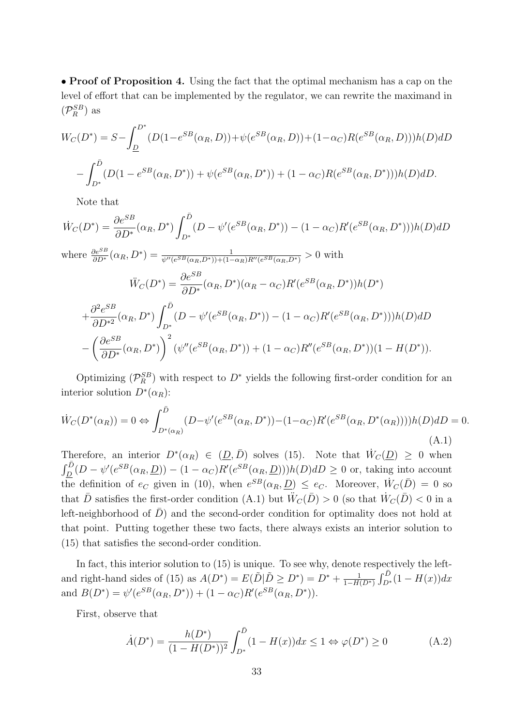• Proof of Proposition 4. Using the fact that the optimal mechanism has a cap on the level of effort that can be implemented by the regulator, we can rewrite the maximand in  $(\mathcal{P}_R^{SB})$  as

$$
W_C(D^*) = S - \int_{D}^{D^*} (D(1 - e^{SB}(\alpha_R, D)) + \psi(e^{SB}(\alpha_R, D)) + (1 - \alpha_C)R(e^{SB}(\alpha_R, D)))h(D) dD
$$

$$
- \int_{D^*}^{D} (D(1 - e^{SB}(\alpha_R, D^*)) + \psi(e^{SB}(\alpha_R, D^*)) + (1 - \alpha_C)R(e^{SB}(\alpha_R, D^*))h(D) dD.
$$

Note that

$$
\dot{W}_C(D^*) = \frac{\partial e^{SB}}{\partial D^*}(\alpha_R, D^*) \int_{D^*}^{\bar{D}} (D - \psi'(e^{SB}(\alpha_R, D^*)) - (1 - \alpha_C)R'(e^{SB}(\alpha_R, D^*))h(D) dD
$$
\nwhere  $\frac{\partial e^{SB}}{\partial D^*}(\alpha_R, D^*) = \frac{1}{\psi''(e^{SB}(\alpha_R, D^*)) + (1 - \alpha_R)R''(e^{SB}(\alpha_R, D^*))} > 0$  with\n
$$
\ddot{W}_C(D^*) = \frac{\partial e^{SB}}{\partial D^*}(\alpha_R, D^*)(\alpha_R - \alpha_C)R'(e^{SB}(\alpha_R, D^*))h(D^*)
$$
\n
$$
+ \frac{\partial^2 e^{SB}}{\partial D^*^2}(\alpha_R, D^*) \int_{D^*}^{\bar{D}} (D - \psi'(e^{SB}(\alpha_R, D^*)) - (1 - \alpha_C)R'(e^{SB}(\alpha_R, D^*))h(D) dD
$$
\n
$$
- \left(\frac{\partial e^{SB}}{\partial D^*}(\alpha_R, D^*)\right)^2 (\psi''(e^{SB}(\alpha_R, D^*)) + (1 - \alpha_C)R''(e^{SB}(\alpha_R, D^*)) (1 - H(D^*)).
$$

Optimizing  $(\mathcal{P}_R^{SB})$  with respect to  $D^*$  yields the following first-order condition for an interior solution  $D^*(\alpha_R)$ :

$$
\dot{W}_C(D^*(\alpha_R)) = 0 \Leftrightarrow \int_{D^*(\alpha_R)}^{\bar{D}} (D - \psi'(e^{SB}(\alpha_R, D^*)) - (1 - \alpha_C)R'(e^{SB}(\alpha_R, D^*(\alpha_R))))h(D) dD = 0.
$$
\n(A.1)

Therefore, an interior  $D^*(\alpha_R) \in (\underline{D}, \overline{D})$  solves (15). Note that  $\dot{W}_C(\underline{D}) \geq 0$  when  $\frac{dD}{dD}(D - \psi'(e^{SB}(\alpha_R, \underline{D})) - (1 - \alpha_C)R'(e^{SB}(\alpha_R, \underline{D})))h(D)dD \geq 0$  or, taking into account the definition of  $e_C$  given in (10), when  $e^{SB}(\alpha_R, \underline{D}) \leq e_C$ . Moreover,  $\dot{W}_C(\bar{D}) = 0$  so that  $\bar{D}$  satisfies the first-order condition (A.1) but  $\ddot{W}_C(\bar{D}) > 0$  (so that  $\dot{W}_C(\bar{D}) < 0$  in a left-neighborhood of  $\overline{D}$  and the second-order condition for optimality does not hold at that point. Putting together these two facts, there always exists an interior solution to (15) that satisfies the second-order condition.

In fact, this interior solution to  $(15)$  is unique. To see why, denote respectively the leftand right-hand sides of (15) as  $A(D^*) = E(\tilde{D} | \tilde{D} \ge D^*) = D^* + \frac{1}{1-H}$  $1-H(D^*)$  $\frac{\partial C}{\partial \bar{D}}$  $\int_{D^*}^{D} (1 - H(x)) dx$ and  $B(D^*) = \psi'(e^{SB}(\alpha_R, D^*)) + (1 - \alpha_C)R'(e^{SB}(\alpha_R, D^*)).$ 

First, observe that

$$
\dot{A}(D^*) = \frac{h(D^*)}{(1 - H(D^*))^2} \int_{D^*}^{\bar{D}} (1 - H(x)) dx \le 1 \Leftrightarrow \varphi(D^*) \ge 0 \tag{A.2}
$$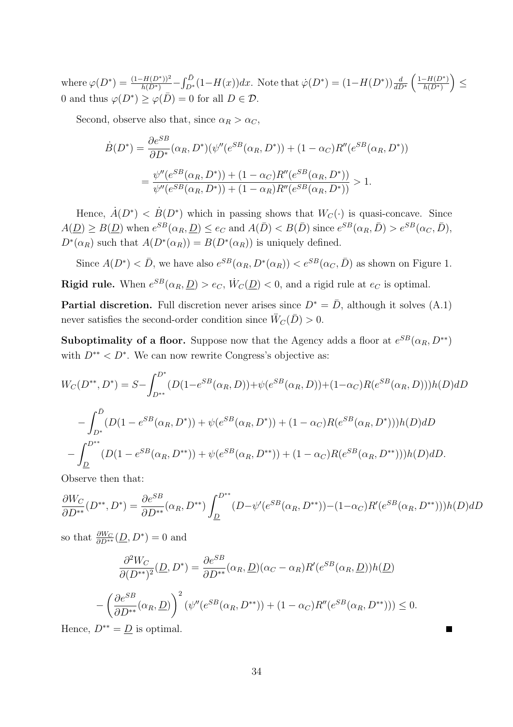where  $\varphi(D^*) = \frac{(1 - H(D^*))^2}{h(D^*)}$  $r\bar{D}$  $\sum_{D^*}^{D} (1 - H(x)) dx$ . Note that  $\dot{\varphi}(D^*) = (1 - H(D^*)) \frac{d}{dD^*}$  $(1-H(D^*))$  $h(D^*)$ ´ ≤ 0 and thus  $\varphi(D^*) \geq \varphi(D) = 0$  for all  $D \in \mathcal{D}$ .

Second, observe also that, since  $\alpha_R > \alpha_C$ ,

$$
\dot{B}(D^*) = \frac{\partial e^{SB}}{\partial D^*}(\alpha_R, D^*)(\psi''(e^{SB}(\alpha_R, D^*)) + (1 - \alpha_C)R''(e^{SB}(\alpha_R, D^*))
$$
  
= 
$$
\frac{\psi''(e^{SB}(\alpha_R, D^*)) + (1 - \alpha_C)R''(e^{SB}(\alpha_R, D^*))}{\psi''(e^{SB}(\alpha_R, D^*)) + (1 - \alpha_R)R''(e^{SB}(\alpha_R, D^*))} > 1.
$$

Hence,  $\dot{A}(D^*) < \dot{B}(D^*)$  which in passing shows that  $W_C(\cdot)$  is quasi-concave. Since  $A(\underline{D}) \geq B(\underline{D})$  when  $e^{SB}(\alpha_R, \underline{D}) \leq e_C$  and  $A(\overline{D}) < B(\overline{D})$  since  $e^{SB}(\alpha_R, \overline{D}) > e^{SB}(\alpha_C, \overline{D})$ ,  $D^*(\alpha_R)$  such that  $A(D^*(\alpha_R)) = B(D^*(\alpha_R))$  is uniquely defined.

Since  $A(D^*) < \bar{D}$ , we have also  $e^{SB}(\alpha_R, D^*(\alpha_R)) < e^{SB}(\alpha_C, \bar{D})$  as shown on Figure 1. **Rigid rule.** When  $e^{SB}(\alpha_R, \underline{D}) > e_C$ ,  $\dot{W}_C(\underline{D}) < 0$ , and a rigid rule at  $e_C$  is optimal.

**Partial discretion.** Full discretion never arises since  $D^* = \overline{D}$ , although it solves (A.1) never satisfies the second-order condition since  $\ddot{W}_C(\bar{D}) > 0$ .

**Suboptimality of a floor.** Suppose now that the Agency adds a floor at  $e^{SB}(\alpha_R, D^{**})$ with  $D^{**} < D^*$ . We can now rewrite Congress's objective as:

$$
W_C(D^{**}, D^*) = S - \int_{D^{**}}^{D^*} (D(1 - e^{SB}(\alpha_R, D)) + \psi(e^{SB}(\alpha_R, D)) + (1 - \alpha_C)R(e^{SB}(\alpha_R, D)))h(D) dD
$$
  

$$
- \int_{D^*}^{D} (D(1 - e^{SB}(\alpha_R, D^*)) + \psi(e^{SB}(\alpha_R, D^*)) + (1 - \alpha_C)R(e^{SB}(\alpha_R, D^*))h(D) dD
$$
  

$$
- \int_{D}^{D^{**}} (D(1 - e^{SB}(\alpha_R, D^{**})) + \psi(e^{SB}(\alpha_R, D^{**})) + (1 - \alpha_C)R(e^{SB}(\alpha_R, D^{**})))h(D) dD.
$$

Observe then that:

$$
\frac{\partial W_C}{\partial D^{**}}(D^{**}, D^*) = \frac{\partial e^{SB}}{\partial D^{**}}(\alpha_R, D^{**}) \int_{\underline{D}}^{D^{**}} (D - \psi'(e^{SB}(\alpha_R, D^{**})) - (1 - \alpha_C)R'(e^{SB}(\alpha_R, D^{**})))h(D) dD
$$

so that  $\frac{\partial W_C}{\partial D^{**}}(\underline{D}, D^*) = 0$  and

$$
\frac{\partial^2 W_C}{\partial (D^{**})^2}(\underline{D}, D^*) = \frac{\partial e^{SB}}{\partial D^{**}}(\alpha_R, \underline{D})(\alpha_C - \alpha_R)R'(e^{SB}(\alpha_R, \underline{D}))h(\underline{D})
$$

$$
-\left(\frac{\partial e^{SB}}{\partial D^{**}}(\alpha_R, \underline{D})\right)^2(\psi''(e^{SB}(\alpha_R, D^{**})) + (1 - \alpha_C)R''(e^{SB}(\alpha_R, D^{**}))) \le 0.
$$

 $\blacksquare$ 

Hence,  $D^{**} = D$  is optimal.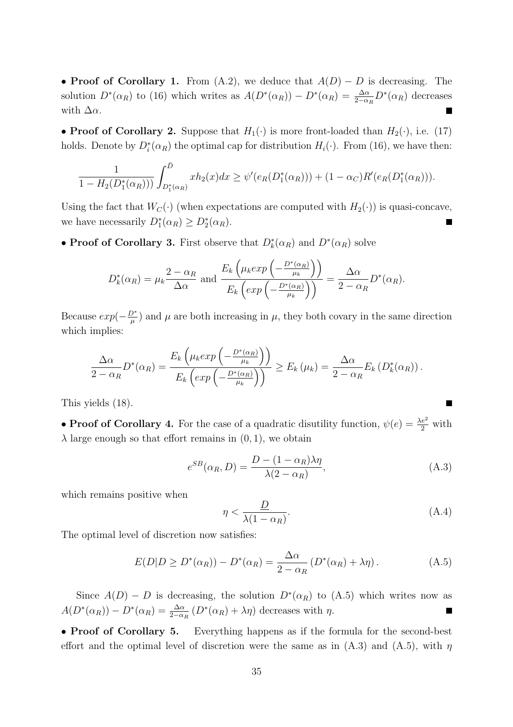• Proof of Corollary 1. From (A.2), we deduce that  $A(D) - D$  is decreasing. The solution  $D^*(\alpha_R)$  to (16) which writes as  $A(D^*(\alpha_R)) - D^*(\alpha_R) = \frac{\Delta \alpha}{2 - \alpha_R} D^*(\alpha_R)$  decreases with  $\Delta \alpha$ .

• Proof of Corollary 2. Suppose that  $H_1(\cdot)$  is more front-loaded than  $H_2(\cdot)$ , i.e. (17) holds. Denote by  $D_i^*(\alpha_R)$  the optimal cap for distribution  $H_i(\cdot)$ . From (16), we have then:

$$
\frac{1}{1-H_2(D_1^*(\alpha_R)))} \int_{D_1^*(\alpha_R)}^{\bar{D}} x h_2(x) dx \geq \psi'(e_R(D_1^*(\alpha_R))) + (1-\alpha_C)R'(e_R(D_1^*(\alpha_R))).
$$

Using the fact that  $W_C(\cdot)$  (when expectations are computed with  $H_2(\cdot)$ ) is quasi-concave, we have necessarily  $D_1^*(\alpha_R) \geq D_2^*(\alpha_R)$ .

• Proof of Corollary 3. First observe that  $D_k^*(\alpha_R)$  and  $D^*(\alpha_R)$  solve

$$
D_k^*(\alpha_R) = \mu_k \frac{2 - \alpha_R}{\Delta \alpha} \text{ and } \frac{E_k \left( \mu_k exp\left(-\frac{D^*(\alpha_R)}{\mu_k}\right) \right)}{E_k \left(exp\left(-\frac{D^*(\alpha_R)}{\mu_k}\right) \right)} = \frac{\Delta \alpha}{2 - \alpha_R} D^*(\alpha_R).
$$

Because  $exp(-\frac{D^*}{u})$  $(\mu^2)$  and  $\mu$  are both increasing in  $\mu$ , they both covary in the same direction which implies:

$$
\frac{\Delta\alpha}{2-\alpha_R}D^*(\alpha_R) = \frac{E_k\left(\mu_k exp\left(-\frac{D^*(\alpha_R)}{\mu_k}\right)\right)}{E_k\left(exp\left(-\frac{D^*(\alpha_R)}{\mu_k}\right)\right)} \ge E_k(\mu_k) = \frac{\Delta\alpha}{2-\alpha_R}E_k(D_k^*(\alpha_R)).
$$

This yields (18).

• **Proof of Corollary 4.** For the case of a quadratic disutility function,  $\psi(e) = \frac{\lambda e^2}{2}$  with  $\lambda$  large enough so that effort remains in  $(0, 1)$ , we obtain

$$
e^{SB}(\alpha_R, D) = \frac{D - (1 - \alpha_R)\lambda \eta}{\lambda (2 - \alpha_R)},
$$
\n(A.3)

which remains positive when

$$
\eta < \frac{D}{\lambda (1 - \alpha_R)}.\tag{A.4}
$$

The optimal level of discretion now satisfies:

$$
E(D|D \ge D^*(\alpha_R)) - D^*(\alpha_R) = \frac{\Delta \alpha}{2 - \alpha_R} \left( D^*(\alpha_R) + \lambda \eta \right). \tag{A.5}
$$

Since  $A(D) - D$  is decreasing, the solution  $D^*(\alpha_R)$  to  $(A.5)$  which writes now as  $A(D^*(\alpha_R)) - D^*(\alpha_R) = \frac{\Delta \alpha}{2 - \alpha_R} (D^*(\alpha_R) + \lambda \eta)$  decreases with  $\eta$ .

• Proof of Corollary 5. Everything happens as if the formula for the second-best effort and the optimal level of discretion were the same as in  $(A.3)$  and  $(A.5)$ , with  $\eta$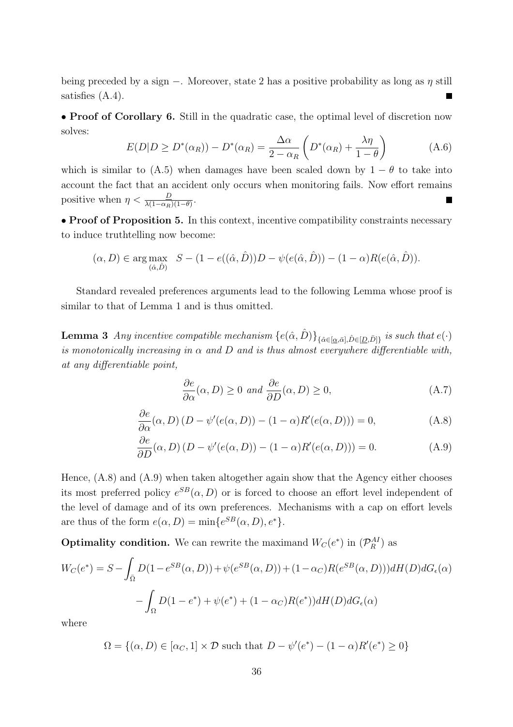being preceded by a sign −. Moreover, state 2 has a positive probability as long as  $\eta$  still satisfies (A.4). п

• Proof of Corollary 6. Still in the quadratic case, the optimal level of discretion now solves:  $\overline{a}$  $\mathbf{r}$ 

$$
E(D|D \ge D^*(\alpha_R)) - D^*(\alpha_R) = \frac{\Delta \alpha}{2 - \alpha_R} \left( D^*(\alpha_R) + \frac{\lambda \eta}{1 - \theta} \right) \tag{A.6}
$$

which is similar to (A.5) when damages have been scaled down by  $1 - \theta$  to take into account the fact that an accident only occurs when monitoring fails. Now effort remains positive when  $\eta < \frac{D}{\lambda(1-\alpha_R)(1-\theta)}$ .

• Proof of Proposition 5. In this context, incentive compatibility constraints necessary to induce truthtelling now become:

$$
(\alpha, D) \in \arg \max_{(\hat{\alpha}, \hat{D})} S - (1 - e((\hat{\alpha}, \hat{D}))D - \psi(e(\hat{\alpha}, \hat{D})) - (1 - \alpha)R(e(\hat{\alpha}, \hat{D})).
$$

Standard revealed preferences arguments lead to the following Lemma whose proof is similar to that of Lemma 1 and is thus omitted.

**Lemma 3** Any incentive compatible mechanism  ${e(\hat{\alpha}, \hat{D})}_{\{\hat{\alpha} \in [\underline{\alpha}, \bar{\alpha}], \hat{D} \in [\underline{D}, \bar{D}]\}}$  is such that  $e(\cdot)$ is monotonically increasing in  $\alpha$  and  $D$  and is thus almost everywhere differentiable with, at any differentiable point,

$$
\frac{\partial e}{\partial \alpha}(\alpha, D) \ge 0 \text{ and } \frac{\partial e}{\partial D}(\alpha, D) \ge 0,
$$
\n(A.7)

$$
\frac{\partial e}{\partial \alpha}(\alpha, D) (D - \psi'(e(\alpha, D)) - (1 - \alpha)R'(e(\alpha, D))) = 0,
$$
\n(A.8)

$$
\frac{\partial e}{\partial D}(\alpha, D) (D - \psi'(e(\alpha, D)) - (1 - \alpha)R'(e(\alpha, D))) = 0.
$$
 (A.9)

Hence, (A.8) and (A.9) when taken altogether again show that the Agency either chooses its most preferred policy  $e^{SB}(\alpha, D)$  or is forced to choose an effort level independent of the level of damage and of its own preferences. Mechanisms with a cap on effort levels are thus of the form  $e(\alpha, D) = \min\{e^{SB}(\alpha, D), e^*\}.$ 

**Optimality condition.** We can rewrite the maximand  $W_C(e^*)$  in  $(\mathcal{P}_R^{AI})$  as

$$
W_C(e^*) = S - \int_{\overline{\Omega}} D(1 - e^{SB}(\alpha, D)) + \psi(e^{SB}(\alpha, D)) + (1 - \alpha_C)R(e^{SB}(\alpha, D))dH(D)dG_{\epsilon}(\alpha)
$$

$$
- \int_{\Omega} D(1 - e^*) + \psi(e^*) + (1 - \alpha_C)R(e^*))dH(D)dG_{\epsilon}(\alpha)
$$

where

$$
\Omega = \{ (\alpha, D) \in [\alpha_C, 1] \times \mathcal{D} \text{ such that } D - \psi'(e^*) - (1 - \alpha)R'(e^*) \ge 0 \}
$$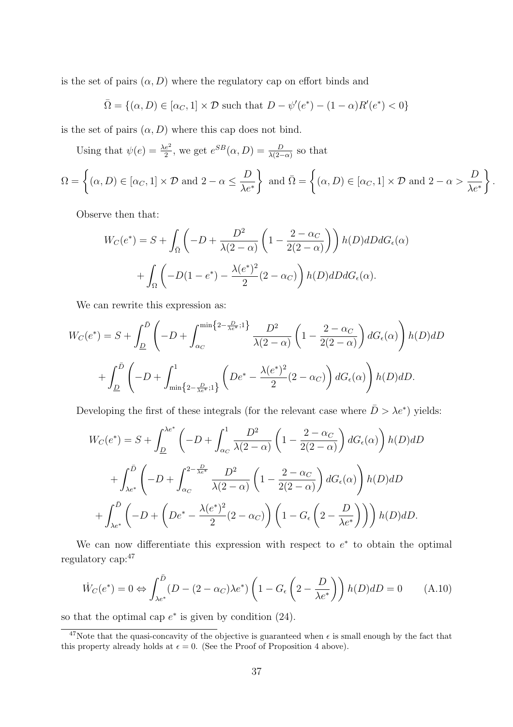is the set of pairs  $(\alpha, D)$  where the regulatory cap on effort binds and

$$
\overline{\Omega} = \{(\alpha, D) \in [\alpha_C, 1] \times \mathcal{D} \text{ such that } D - \psi'(e^*) - (1 - \alpha)R'(e^*) < 0\}
$$

is the set of pairs  $(\alpha, D)$  where this cap does not bind.

Using that  $\psi(e) = \frac{\lambda e^2}{2}$ , we get  $e^{SB}(\alpha, D) = \frac{D}{\lambda(2-\alpha)}$  so that

$$
\Omega = \left\{ (\alpha, D) \in [\alpha_C, 1] \times \mathcal{D} \text{ and } 2 - \alpha \le \frac{D}{\lambda e^*} \right\} \text{ and } \bar{\Omega} = \left\{ (\alpha, D) \in [\alpha_C, 1] \times \mathcal{D} \text{ and } 2 - \alpha > \frac{D}{\lambda e^*} \right\}.
$$

Observe then that:

$$
W_C(e^*) = S + \int_{\bar{\Omega}} \left( -D + \frac{D^2}{\lambda(2-\alpha)} \left( 1 - \frac{2-\alpha_C}{2(2-\alpha)} \right) \right) h(D) dD dG_{\epsilon}(\alpha)
$$

$$
+ \int_{\Omega} \left( -D(1-e^*) - \frac{\lambda(e^*)^2}{2}(2-\alpha_C) \right) h(D) dD dG_{\epsilon}(\alpha).
$$

We can rewrite this expression as:

$$
W_C(e^*) = S + \int_{\underline{D}}^{\overline{D}} \left( -D + \int_{\alpha_C}^{\min\{2 - \frac{D}{\lambda e^*}; 1\}} \frac{D^2}{\lambda(2 - \alpha)} \left( 1 - \frac{2 - \alpha_C}{2(2 - \alpha)} \right) dG_{\epsilon}(\alpha) \right) h(D) dD
$$
  
+ 
$$
\int_{\underline{D}}^{\overline{D}} \left( -D + \int_{\min\{2 - \frac{D}{\lambda e^*}; 1\}}^1 \left( De^* - \frac{\lambda(e^*)^2}{2}(2 - \alpha_C) \right) dG_{\epsilon}(\alpha) \right) h(D) dD.
$$

Developing the first of these integrals (for the relevant case where  $\bar{D} > \lambda e^*$ ) yields:

$$
W_C(e^*) = S + \int_{\underline{D}}^{\lambda e^*} \left( -D + \int_{\alpha_C}^1 \frac{D^2}{\lambda(2-\alpha)} \left( 1 - \frac{2-\alpha_C}{2(2-\alpha)} \right) dG_{\epsilon}(\alpha) \right) h(D) dD
$$
  
+ 
$$
\int_{\lambda e^*}^{\bar{D}} \left( -D + \int_{\alpha_C}^{2-\frac{D}{\lambda e^*}} \frac{D^2}{\lambda(2-\alpha)} \left( 1 - \frac{2-\alpha_C}{2(2-\alpha)} \right) dG_{\epsilon}(\alpha) \right) h(D) dD
$$
  
+ 
$$
\int_{\lambda e^*}^{\bar{D}} \left( -D + \left( De^* - \frac{\lambda(e^*)^2}{2}(2-\alpha_C) \right) \left( 1 - G_{\epsilon} \left( 2 - \frac{D}{\lambda e^*} \right) \right) \right) h(D) dD.
$$

We can now differentiate this expression with respect to  $e^*$  to obtain the optimal regulatory cap:<sup>47</sup>

$$
\dot{W}_C(e^*) = 0 \Leftrightarrow \int_{\lambda e^*}^{\bar{D}} (D - (2 - \alpha_C)\lambda e^*) \left(1 - G_{\epsilon} \left(2 - \frac{D}{\lambda e^*}\right)\right) h(D) dD = 0 \tag{A.10}
$$

so that the optimal cap  $e^*$  is given by condition (24).

<sup>&</sup>lt;sup>47</sup>Note that the quasi-concavity of the objective is guaranteed when  $\epsilon$  is small enough by the fact that this property already holds at  $\epsilon = 0$ . (See the Proof of Proposition 4 above).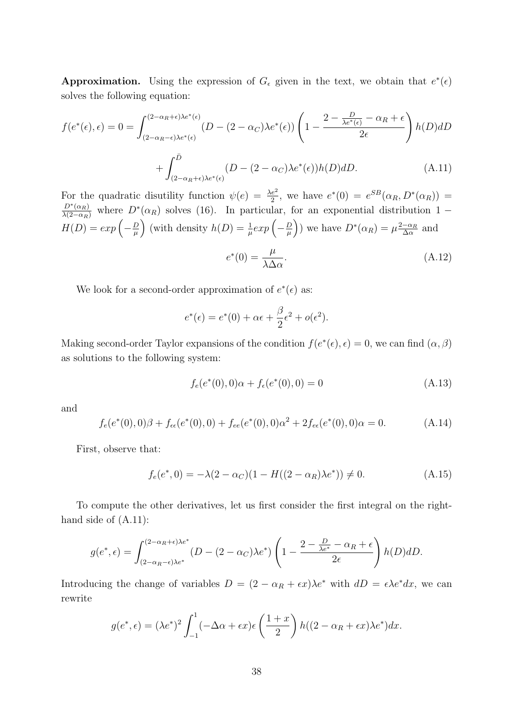Approximation. Using the expression of  $G_{\epsilon}$  given in the text, we obtain that  $e^*(\epsilon)$ solves the following equation:

$$
f(e^*(\epsilon), \epsilon) = 0 = \int_{(2-\alpha_R - \epsilon)\lambda e^*(\epsilon)}^{(2-\alpha_R + \epsilon)\lambda e^*(\epsilon)} (D - (2-\alpha_C)\lambda e^*(\epsilon)) \left(1 - \frac{2 - \frac{D}{\lambda e^*(\epsilon)} - \alpha_R + \epsilon}{2\epsilon}\right) h(D) dD
$$
  
+ 
$$
\int_{(2-\alpha_R + \epsilon)\lambda e^*(\epsilon)}^{\bar{D}} (D - (2-\alpha_C)\lambda e^*(\epsilon)) h(D) dD.
$$
 (A.11)

For the quadratic disutility function  $\psi(e) = \frac{\lambda e^2}{2}$ , we have  $e^*(0) = e^{SB}(\alpha_R, D^*(\alpha_R))$  $\frac{D^*(\alpha_R)}{\lambda(2-\alpha_R)}$  where  $D^*(\alpha_R)$  solves (16). In particular, for an exponential distribution 1 –  $\lambda(2-\alpha_R)$  where  $D$ <br> $H(D) = exp\left(-\frac{D}{\mu}\right)$  $\frac{D}{\mu}$  (with density  $h(D) = \frac{1}{\mu} exp \left(-\frac{D}{\mu}\right)$  $\left(\frac{D}{\mu}\right)$ ) we have  $D^*(\alpha_R) = \mu \frac{2-\alpha_R}{\Delta \alpha}$  $\frac{-\alpha_R}{\Delta \alpha}$  and  $e^*(0) = \frac{\mu}{\lambda}$  $\lambda$ Δ $\alpha$  $(A.12)$ 

We look for a second-order approximation of  $e^*(\epsilon)$  as:

$$
e^*(\epsilon) = e^*(0) + \alpha \epsilon + \frac{\beta}{2} \epsilon^2 + o(\epsilon^2).
$$

Making second-order Taylor expansions of the condition  $f(e^*(\epsilon), \epsilon) = 0$ , we can find  $(\alpha, \beta)$ as solutions to the following system:

$$
f_e(e^*(0),0)\alpha + f_e(e^*(0),0) = 0
$$
\n(A.13)

and

$$
f_e(e^*(0),0)\beta + f_{\epsilon\epsilon}(e^*(0),0) + f_{ee}(e^*(0),0)\alpha^2 + 2f_{\epsilon\epsilon}(e^*(0),0)\alpha = 0.
$$
 (A.14)

First, observe that:

$$
f_e(e^*,0) = -\lambda(2-\alpha_C)(1 - H((2-\alpha_R)\lambda e^*)) \neq 0.
$$
 (A.15)

To compute the other derivatives, let us first consider the first integral on the righthand side of (A.11):

$$
g(e^*, \epsilon) = \int_{(2-\alpha_R-\epsilon)\lambda e^*}^{(2-\alpha_R+\epsilon)\lambda e^*} (D - (2-\alpha_C)\lambda e^*) \left(1 - \frac{2-\frac{D}{\lambda e^*} - \alpha_R + \epsilon}{2\epsilon}\right) h(D) dD.
$$

Introducing the change of variables  $D = (2 - \alpha_R + \epsilon x)\lambda e^*$  with  $dD = \epsilon \lambda e^* dx$ , we can rewrite

$$
g(e^*, \epsilon) = (\lambda e^*)^2 \int_{-1}^1 (-\Delta \alpha + \epsilon x) \epsilon \left(\frac{1+x}{2}\right) h((2-\alpha_R + \epsilon x)\lambda e^*) dx.
$$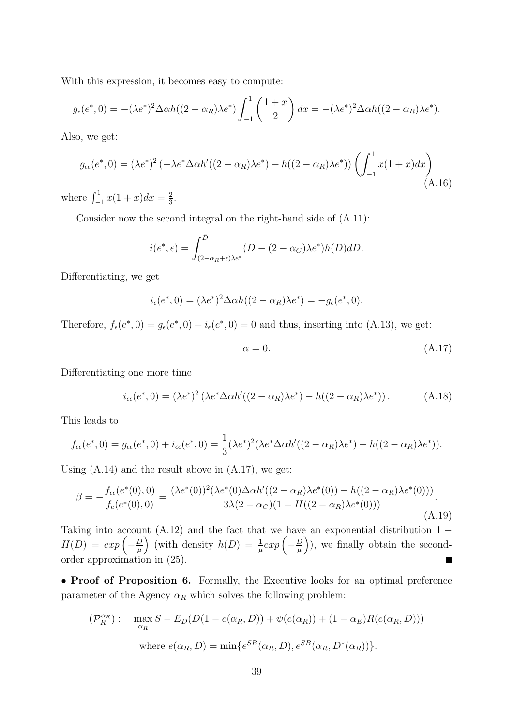With this expression, it becomes easy to compute:

$$
g_{\epsilon}(e^*,0) = -(\lambda e^*)^2 \Delta \alpha h((2-\alpha_R)\lambda e^*) \int_{-1}^1 \left(\frac{1+x}{2}\right) dx = -(\lambda e^*)^2 \Delta \alpha h((2-\alpha_R)\lambda e^*).
$$

Also, we get:

$$
g_{\epsilon\epsilon}(e^*, 0) = (\lambda e^*)^2 \left( -\lambda e^* \Delta \alpha h'((2 - \alpha_R)\lambda e^*) + h((2 - \alpha_R)\lambda e^*) \right) \left( \int_{-1}^1 x(1+x) dx \right)
$$
\n(A.16)

where  $\int_{-1}^{1} x(1+x)dx = \frac{2}{3}$  $\frac{2}{3}$ .

Consider now the second integral on the right-hand side of (A.11):

$$
i(e^*, \epsilon) = \int_{(2-\alpha_R+\epsilon)\lambda e^*}^{\bar{D}} (D - (2-\alpha_C)\lambda e^*) h(D) dD.
$$

Differentiating, we get

$$
i_{\epsilon}(e^*,0) = (\lambda e^*)^2 \Delta \alpha h((2-\alpha_R)\lambda e^*) = -g_{\epsilon}(e^*,0).
$$

Therefore,  $f_{\epsilon}(e^*, 0) = g_{\epsilon}(e^*, 0) + i_{\epsilon}(e^*, 0) = 0$  and thus, inserting into (A.13), we get:

$$
\alpha = 0.\tag{A.17}
$$

Differentiating one more time

$$
i_{\epsilon\epsilon}(e^*,0) = (\lambda e^*)^2 (\lambda e^* \Delta \alpha h'((2-\alpha_R)\lambda e^*) - h((2-\alpha_R)\lambda e^*)). \tag{A.18}
$$

This leads to

$$
f_{\epsilon\epsilon}(e^*, 0) = g_{\epsilon\epsilon}(e^*, 0) + i_{\epsilon\epsilon}(e^*, 0) = \frac{1}{3} (\lambda e^*)^2 (\lambda e^* \Delta \alpha h'((2 - \alpha_R)\lambda e^*) - h((2 - \alpha_R)\lambda e^*)).
$$

Using  $(A.14)$  and the result above in  $(A.17)$ , we get:

$$
\beta = -\frac{f_{\epsilon\epsilon}(e^*(0),0)}{f_{\epsilon}(e^*(0),0)} = \frac{(\lambda e^*(0))^2(\lambda e^*(0)\Delta\alpha h'((2-\alpha_R)\lambda e^*(0)) - h((2-\alpha_R)\lambda e^*(0)))}{3\lambda(2-\alpha_C)(1-H((2-\alpha_R)\lambda e^*(0)))}.
$$
\n(A.19)

Taking into account (A.12) and the fact that we have an exponential distribution  $1 -$ Taking into account<br> $H(D) = exp \left(-\frac{D}{\mu}\right)$ unt (A.12) and the fact that we have<br>  $\frac{D}{\mu}$  (with density  $h(D) = \frac{1}{\mu} exp \left(-\frac{D}{\mu}\right)$  $(\frac{D}{\mu})$ , we finally obtain the secondorder approximation in (25).

• Proof of Proposition 6. Formally, the Executive looks for an optimal preference parameter of the Agency  $\alpha_R$  which solves the following problem:

$$
(\mathcal{P}_R^{\alpha_R}) : \quad \max_{\alpha_R} S - E_D(D(1 - e(\alpha_R, D)) + \psi(e(\alpha_R)) + (1 - \alpha_E)R(e(\alpha_R, D)))
$$
  
where  $e(\alpha_R, D) = \min\{e^{SB}(\alpha_R, D), e^{SB}(\alpha_R, D^*(\alpha_R))\}.$